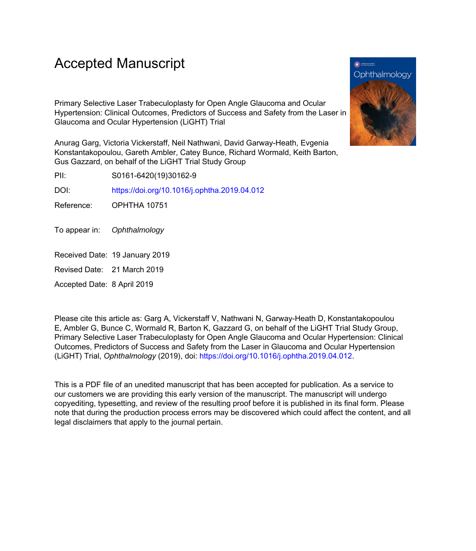# Accepted Manuscript

Primary Selective Laser Trabeculoplasty for Open Angle Glaucoma and Ocular Hypertension: Clinical Outcomes, Predictors of Success and Safety from the Laser in Glaucoma and Ocular Hypertension (LiGHT) Trial

Anurag Garg, Victoria Vickerstaff, Neil Nathwani, David Garway-Heath, Evgenia Konstantakopoulou, Gareth Ambler, Catey Bunce, Richard Wormald, Keith Barton, Gus Gazzard, on behalf of the LiGHT Trial Study Group

PII: S0161-6420(19)30162-9

DOI: <https://doi.org/10.1016/j.ophtha.2019.04.012>

Reference: OPHTHA 10751

- To appear in: Ophthalmology
- Received Date: 19 January 2019
- Revised Date: 21 March 2019

Accepted Date: 8 April 2019

Please cite this article as: Garg A, Vickerstaff V, Nathwani N, Garway-Heath D, Konstantakopoulou E, Ambler G, Bunce C, Wormald R, Barton K, Gazzard G, on behalf of the LiGHT Trial Study Group, Primary Selective Laser Trabeculoplasty for Open Angle Glaucoma and Ocular Hypertension: Clinical Outcomes, Predictors of Success and Safety from the Laser in Glaucoma and Ocular Hypertension (LiGHT) Trial, *Ophthalmology* (2019), doi: [https://doi.org/10.1016/j.ophtha.2019.04.012.](https://doi.org/10.1016/j.ophtha.2019.04.012)

This is a PDF file of an unedited manuscript that has been accepted for publication. As a service to our customers we are providing this early version of the manuscript. The manuscript will undergo copyediting, typesetting, and review of the resulting proof before it is published in its final form. Please note that during the production process errors may be discovered which could affect the content, and all legal disclaimers that apply to the journal pertain.

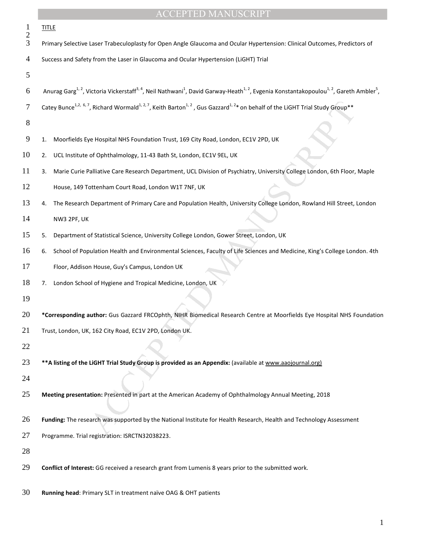|                     | <b>ACCEPTED MANUSCRIPT</b>                                                                                                                                                                                      |
|---------------------|-----------------------------------------------------------------------------------------------------------------------------------------------------------------------------------------------------------------|
| 1<br>$\overline{c}$ | <b>TITLE</b>                                                                                                                                                                                                    |
| 3                   | Primary Selective Laser Trabeculoplasty for Open Angle Glaucoma and Ocular Hypertension: Clinical Outcomes, Predictors of                                                                                       |
| 4                   | Success and Safety from the Laser in Glaucoma and Ocular Hypertension (LiGHT) Trial                                                                                                                             |
| 5                   |                                                                                                                                                                                                                 |
| 6                   | Anurag Garg <sup>1, 2</sup> , Victoria Vickerstaff <sup>3, 4</sup> , Neil Nathwani <sup>1</sup> , David Garway-Heath <sup>1, 2</sup> , Evgenia Konstantakopoulou <sup>1, 2</sup> , Gareth Ambler <sup>5</sup> , |
| 7                   | Catey Bunce <sup>1,2, 6,7</sup> , Richard Wormald <sup>1, 2,7</sup> , Keith Barton <sup>1, 2</sup> , Gus Gazzard <sup>1, 2</sup> * on behalf of the LiGHT Trial Study Group**                                   |
| 8                   |                                                                                                                                                                                                                 |
| 9                   | Moorfields Eye Hospital NHS Foundation Trust, 169 City Road, London, EC1V 2PD, UK<br>1.                                                                                                                         |
| 10                  | UCL Institute of Ophthalmology, 11-43 Bath St, London, EC1V 9EL, UK<br>2.                                                                                                                                       |
| 11                  | Marie Curie Palliative Care Research Department, UCL Division of Psychiatry, University College London, 6th Floor, Maple<br>3.                                                                                  |
| 12                  | House, 149 Tottenham Court Road, London W1T 7NF, UK                                                                                                                                                             |
| 13                  | The Research Department of Primary Care and Population Health, University College London, Rowland Hill Street, London<br>4.                                                                                     |
| 14                  | NW3 2PF, UK                                                                                                                                                                                                     |
| 15                  | Department of Statistical Science, University College London, Gower Street, London, UK<br>5.                                                                                                                    |
| 16                  | School of Population Health and Environmental Sciences, Faculty of Life Sciences and Medicine, King's College London. 4th<br>6.                                                                                 |
| 17                  | Floor, Addison House, Guy's Campus, London UK                                                                                                                                                                   |
| 18                  | London School of Hygiene and Tropical Medicine, London, UK<br>7.                                                                                                                                                |
| 19                  |                                                                                                                                                                                                                 |
| 20                  | *Corresponding author: Gus Gazzard FRCOphth, NIHR Biomedical Research Centre at Moorfields Eye Hospital NHS Foundation                                                                                          |
| 21                  | Trust, London, UK, 162 City Road, EC1V 2PD, London UK.                                                                                                                                                          |
| 22                  |                                                                                                                                                                                                                 |
| 23                  | ** A listing of the LiGHT Trial Study Group is provided as an Appendix: (available at www.aaojournal.org)                                                                                                       |
| 24                  |                                                                                                                                                                                                                 |
| 25                  | Meeting presentation: Presented in part at the American Academy of Ophthalmology Annual Meeting, 2018                                                                                                           |
| 26                  | Funding: The research was supported by the National Institute for Health Research, Health and Technology Assessment                                                                                             |
| 27                  | Programme. Trial registration: ISRCTN32038223.                                                                                                                                                                  |
| 28                  |                                                                                                                                                                                                                 |
| 29                  | Conflict of Interest: GG received a research grant from Lumenis 8 years prior to the submitted work.                                                                                                            |
| 30                  | Running head: Primary SLT in treatment naïve OAG & OHT patients                                                                                                                                                 |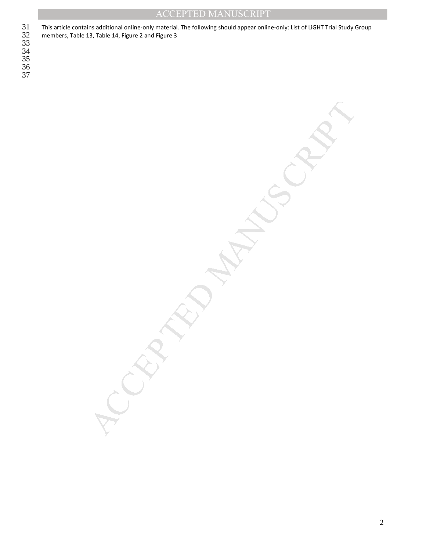MANUSCRIPT

This article contains additional online-only material. The following should appear online-only: List of LiGHT Trial Study Group members, Table 13, Table 14, Figure 2 and Figure 3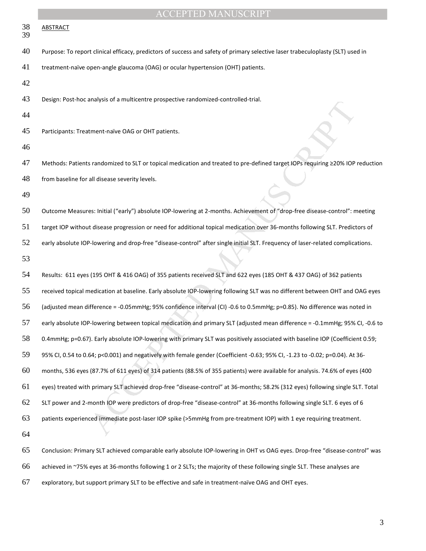| 38<br>39 | <b>ABSTRACT</b>                                                                                                                 |
|----------|---------------------------------------------------------------------------------------------------------------------------------|
| 40       | Purpose: To report clinical efficacy, predictors of success and safety of primary selective laser trabeculoplasty (SLT) used in |
| 41       | treatment-naïve open-angle glaucoma (OAG) or ocular hypertension (OHT) patients.                                                |
| 42       |                                                                                                                                 |
| 43       | Design: Post-hoc analysis of a multicentre prospective randomized-controlled-trial.                                             |
| 44       |                                                                                                                                 |
| 45       | Participants: Treatment-naïve OAG or OHT patients.                                                                              |
| 46       |                                                                                                                                 |
| 47       | Methods: Patients randomized to SLT or topical medication and treated to pre-defined target IOPs requiring ≥20% IOP reduction   |
| 48       | from baseline for all disease severity levels.                                                                                  |
| 49       |                                                                                                                                 |
| 50       | Outcome Measures: Initial ("early") absolute IOP-lowering at 2-months. Achievement of "drop-free disease-control": meeting      |
| 51       | target IOP without disease progression or need for additional topical medication over 36-months following SLT. Predictors of    |
| 52       | early absolute IOP-lowering and drop-free "disease-control" after single initial SLT. Frequency of laser-related complications. |
| 53       |                                                                                                                                 |
| 54       | Results: 611 eyes (195 OHT & 416 OAG) of 355 patients received SLT and 622 eyes (185 OHT & 437 OAG) of 362 patients             |
| 55       | received topical medication at baseline. Early absolute IOP-lowering following SLT was no different between OHT and OAG eyes    |
| 56       | (adjusted mean difference = -0.05mmHg; 95% confidence interval (CI) -0.6 to 0.5mmHg; p=0.85). No difference was noted in        |
| 57       | early absolute IOP-lowering between topical medication and primary SLT (adjusted mean difference = -0.1mmHg; 95% CI, -0.6 to    |
| 58       | 0.4mmHg; p=0.67). Early absolute IOP-lowering with primary SLT was positively associated with baseline IOP (Coefficient 0.59;   |
| 59       | 95% CI, 0.54 to 0.64; p<0.001) and negatively with female gender (Coefficient -0.63; 95% CI, -1.23 to -0.02; p=0.04). At 36-    |
| 60       | months, 536 eyes (87.7% of 611 eyes) of 314 patients (88.5% of 355 patients) were available for analysis. 74.6% of eyes (400    |
| 61       | eyes) treated with primary SLT achieved drop-free "disease-control" at 36-months; 58.2% (312 eyes) following single SLT. Total  |
| 62       | SLT power and 2-month IOP were predictors of drop-free "disease-control" at 36-months following single SLT. 6 eyes of 6         |
| 63       | patients experienced immediate post-laser IOP spike (>5mmHg from pre-treatment IOP) with 1 eye requiring treatment.             |
| 64       |                                                                                                                                 |
| 65       | Conclusion: Primary SLT achieved comparable early absolute IOP-lowering in OHT vs OAG eyes. Drop-free "disease-control" was     |
| 66       | achieved in ~75% eyes at 36-months following 1 or 2 SLTs; the majority of these following single SLT. These analyses are        |
| 67       | exploratory, but support primary SLT to be effective and safe in treatment-naïve OAG and OHT eyes.                              |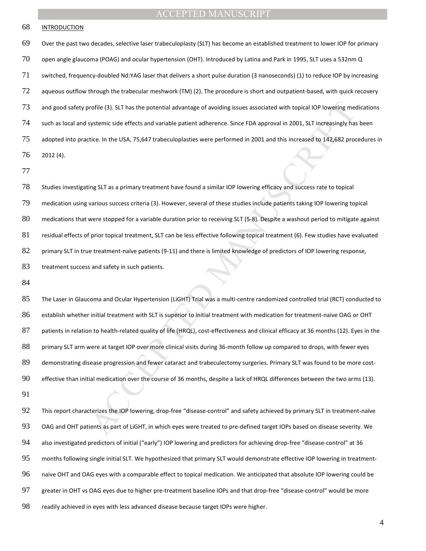#### INTRODUCTION

Over the past two decades, selective laser trabeculoplasty (SLT) has become an established treatment to lower IOP for primary open angle glaucoma (POAG) and ocular hypertension (OHT). Introduced by Latina and Park in 1995, SLT uses a 532nm Q switched, frequency-doubled Nd:YAG laser that delivers a short pulse duration (3 nanoseconds) (1) to reduce IOP by increasing aqueous outflow through the trabecular meshwork (TM) (2). The procedure is short and outpatient-based, with quick recovery 73 and good safety profile (3). SLT has the potential advantage of avoiding issues associated with topical IOP lowering medications such as local and systemic side effects and variable patient adherence. Since FDA approval in 2001, SLT increasingly has been adopted into practice. In the USA, 75,647 trabeculoplasties were performed in 2001 and this increased to 142,682 procedures in 2012 (4).

Studies investigating SLT as a primary treatment have found a similar IOP lowering efficacy and success rate to topical

medication using various success criteria (3). However, several of these studies include patients taking IOP lowering topical

medications that were stopped for a variable duration prior to receiving SLT (5-8). Despite a washout period to mitigate against

residual effects of prior topical treatment, SLT can be less effective following topical treatment (6). Few studies have evaluated

primary SLT in true treatment-naïve patients (9-11) and there is limited knowledge of predictors of IOP lowering response,

83 treatment success and safety in such patients.

iratile (3). SLT has the potential advantage of avoiding issues associated with topical IOP lowering mechanics atter and variable patient adherence. Since FDA approval in 2001, SLT increasingly has aystemic side effects an The Laser in Glaucoma and Ocular Hypertension (LiGHT) Trial was a multi-centre randomized controlled trial (RCT) conducted to establish whether initial treatment with SLT is superior to initial treatment with medication for treatment-naive OAG or OHT 87 patients in relation to health-related quality of life (HRQL), cost-effectiveness and clinical efficacy at 36 months (12). Eyes in the primary SLT arm were at target IOP over more clinical visits during 36-month follow up compared to drops, with fewer eyes demonstrating disease progression and fewer cataract and trabeculectomy surgeries. Primary SLT was found to be more cost-effective than initial medication over the course of 36 months, despite a lack of HRQL differences between the two arms (13). 

This report characterizes the IOP lowering, drop-free "disease-control" and safety achieved by primary SLT in treatment-naïve OAG and OHT patients as part of LiGHT, in which eyes were treated to pre-defined target IOPs based on disease severity. We also investigated predictors of initial ("early") IOP lowering and predictors for achieving drop-free "disease-control" at 36 months following single initial SLT. We hypothesized that primary SLT would demonstrate effective IOP lowering in treatment-naive OHT and OAG eyes with a comparable effect to topical medication. We anticipated that absolute IOP lowering could be greater in OHT vs OAG eyes due to higher pre-treatment baseline IOPs and that drop-free "disease-control" would be more readily achieved in eyes with less advanced disease because target IOPs were higher.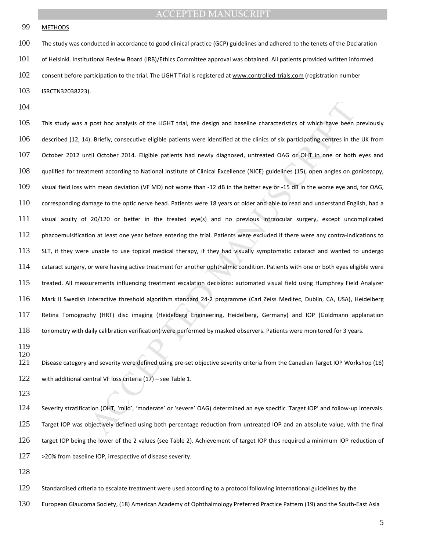99 METHODS

The study was conducted in accordance to good clinical practice (GCP) guidelines and adhered to the tenets of the Declaration of Helsinki. Institutional Review Board (IRB)/Ethics Committee approval was obtained. All patients provided written informed 102 consent before participation to the trial. The LiGHT Trial is registered at www.controlled-trials.com (registration number ISRCTN32038223).

post hoc analysis of the LiGHT trial, the design and baseline characteristics of which have been<br>
0. Briefly, consecutive eligible patients were identified at the clinics of six participating centres in the<br>
10. Briefly, c This study was a post hoc analysis of the LiGHT trial, the design and baseline characteristics of which have been previously described (12, 14). Briefly, consecutive eligible patients were identified at the clinics of six participating centres in the UK from October 2012 until October 2014. Eligible patients had newly diagnosed, untreated OAG or OHT in one or both eyes and qualified for treatment according to National Institute of Clinical Excellence (NICE) guidelines (15), open angles on gonioscopy, visual field loss with mean deviation (VF MD) not worse than -12 dB in the better eye or -15 dB in the worse eye and, for OAG, corresponding damage to the optic nerve head. Patients were 18 years or older and able to read and understand English, had a visual acuity of 20/120 or better in the treated eye(s) and no previous intraocular surgery, except uncomplicated 112 phacoemulsification at least one year before entering the trial. Patients were excluded if there were any contra-indications to SLT, if they were unable to use topical medical therapy, if they had visually symptomatic cataract and wanted to undergo cataract surgery, or were having active treatment for another ophthalmic condition. Patients with one or both eyes eligible were 115 treated. All measurements influencing treatment escalation decisions: automated visual field using Humphrey Field Analyzer Mark II Swedish interactive threshold algorithm standard 24-2 programme (Carl Zeiss Meditec, Dublin, CA, USA), Heidelberg Retina Tomography (HRT) disc imaging (Heidelberg Engineering, Heidelberg, Germany) and IOP (Goldmann applanation tonometry with daily calibration verification) were performed by masked observers. Patients were monitored for 3 years.

 

Disease category and severity were defined using pre-set objective severity criteria from the Canadian Target IOP Workshop (16) with additional central VF loss criteria (17) – see Table 1.

Severity stratification (OHT, 'mild', 'moderate' or 'severe' OAG) determined an eye specific 'Target IOP' and follow-up intervals. Target IOP was objectively defined using both percentage reduction from untreated IOP and an absolute value, with the final target IOP being the lower of the 2 values (see Table 2). Achievement of target IOP thus required a minimum IOP reduction of 127 >20% from baseline IOP, irrespective of disease severity.

Standardised criteria to escalate treatment were used according to a protocol following international guidelines by the

European Glaucoma Society, (18) American Academy of Ophthalmology Preferred Practice Pattern (19) and the South-East Asia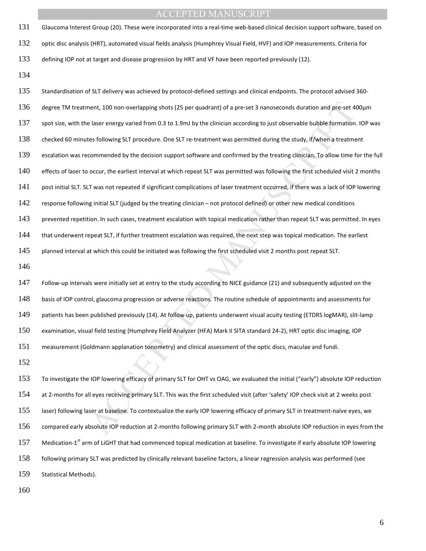- Glaucoma Interest Group (20). These were incorporated into a real-time web-based clinical decision support software, based on optic disc analysis (HRT), automated visual fields analysis (Humphrey Visual Field, HVF) and IOP measurements. Criteria for defining IOP not at target and disease progression by HRT and VF have been reported previously (12).
- 

nent, 100 non-overlapping shots (25 per quadrant) of a pre-set 3 nanoseconds duration and pre-set 4<br>laser energy varied from 0.3 to 1.9ml by the clinician according to just observable bubble formation.<br>Its following SLT pr Standardisation of SLT delivery was achieved by protocol-defined settings and clinical endpoints. The protocol advised 360- degree TM treatment, 100 non-overlapping shots (25 per quadrant) of a pre-set 3 nanoseconds duration and pre-set 400μm spot size, with the laser energy varied from 0.3 to 1.9mJ by the clinician according to just observable bubble formation. IOP was checked 60 minutes following SLT procedure. One SLT re-treatment was permitted during the study, if/when a treatment escalation was recommended by the decision support software and confirmed by the treating clinician. To allow time for the full effects of laser to occur, the earliest interval at which repeat SLT was permitted was following the first scheduled visit 2 months post initial SLT. SLT was not repeated if significant complications of laser treatment occurred, if there was a lack of IOP lowering 142 response following initial SLT (judged by the treating clinician – not protocol defined) or other new medical conditions 143 prevented repetition. In such cases, treatment escalation with topical medication rather than repeat SLT was permitted. In eyes that underwent repeat SLT, if further treatment escalation was required, the next step was topical medication. The earliest planned interval at which this could be initiated was following the first scheduled visit 2 months post repeat SLT. Follow-up intervals were initially set at entry to the study according to NICE guidance (21) and subsequently adjusted on the basis of IOP control, glaucoma progression or adverse reactions. The routine schedule of appointments and assessments for patients has been published previously (14). At follow up, patients underwent visual acuity testing (ETDRS logMAR), slit-lamp examination, visual field testing (Humphrey Field Analyzer (HFA) Mark II SITA standard 24-2), HRT optic disc imaging, IOP measurement (Goldmann applanation tonometry) and clinical assessment of the optic discs, maculae and fundi. To investigate the IOP lowering efficacy of primary SLT for OHT vs OAG, we evaluated the initial ("early") absolute IOP reduction

at 2-months for all eyes receiving primary SLT. This was the first scheduled visit (after 'safety' IOP check visit at 2 weeks post laser) following laser at baseline. To contextualize the early IOP lowering efficacy of primary SLT in treatment-naïve eyes, we compared early absolute IOP reduction at 2-months following primary SLT with 2-month absolute IOP reduction in eyes from the 157 Medication-1<sup>st</sup> arm of LiGHT that had commenced topical medication at baseline. To investigate if early absolute IOP lowering following primary SLT was predicted by clinically relevant baseline factors, a linear regression analysis was performed (see Statistical Methods).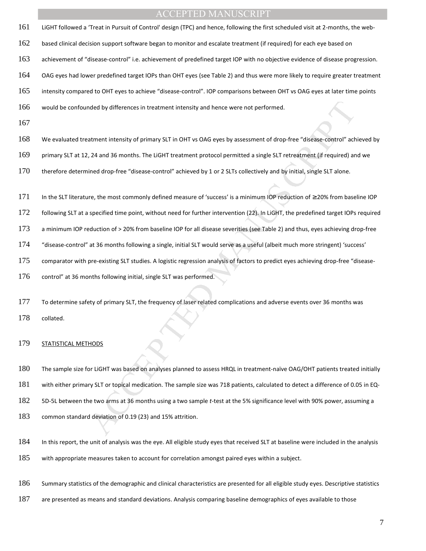- LiGHT followed a 'Treat in Pursuit of Control' design (TPC) and hence, following the first scheduled visit at 2-months, the web-
- based clinical decision support software began to monitor and escalate treatment (if required) for each eye based on
- achievement of "disease-control" i.e. achievement of predefined target IOP with no objective evidence of disease progression.
- OAG eyes had lower predefined target IOPs than OHT eyes (see Table 2) and thus were more likely to require greater treatment
- intensity compared to OHT eyes to achieve "disease-control". IOP comparisons between OHT vs OAG eyes at later time points
- would be confounded by differences in treatment intensity and hence were not performed.
- 
- We evaluated treatment intensity of primary SLT in OHT vs OAG eyes by assessment of drop-free "disease-control" achieved by
- primary SLT at 12, 24 and 36 months. The LiGHT treatment protocol permitted a single SLT retreatment (if required) and we
- therefore determined drop-free "disease-control" achieved by 1 or 2 SLTs collectively and by initial, single SLT alone.
- In the SLT literature, the most commonly defined measure of 'success' is a minimum IOP reduction of ≥ 20% from baseline IOP
- following SLT at a specified time point, without need for further intervention (22). In LiGHT, the predefined target IOPs required
- a minimum IOP reduction of > 20% from baseline IOP for all disease severities (see Table 2) and thus, eyes achieving drop-free
- "disease-control" at 36 months following a single, initial SLT would serve as a useful (albeit much more stringent) 'success'
- comparator with pre-existing SLT studies. A logistic regression analysis of factors to predict eyes achieving drop-free "disease-
- 176 control" at 36 months following initial, single SLT was performed.
- To determine safety of primary SLT, the frequency of laser related complications and adverse events over 36 months was collated.

#### **STATISTICAL METHODS**

- ded by differences in treatment intensity and hence were not performed.<br>
Atment intensity of primary SLT in OHT vs OAG eyes by assessment of drop-free "disease-control" ach<br>
2.4 and 36 months. The LIGHT treatment protocol The sample size for LiGHT was based on analyses planned to assess HRQL in treatment-naïve OAG/OHT patients treated initially with either primary SLT or topical medication. The sample size was 718 patients, calculated to detect a difference of 0.05 in EQ-5D-5L between the two arms at 36 months using a two sample *t-*test at the 5% significance level with 90% power, assuming a common standard deviation of 0.19 (23) and 15% attrition.
- In this report, the unit of analysis was the eye. All eligible study eyes that received SLT at baseline were included in the analysis with appropriate measures taken to account for correlation amongst paired eyes within a subject.
- Summary statistics of the demographic and clinical characteristics are presented for all eligible study eyes. Descriptive statistics
- 187 are presented as means and standard deviations. Analysis comparing baseline demographics of eyes available to those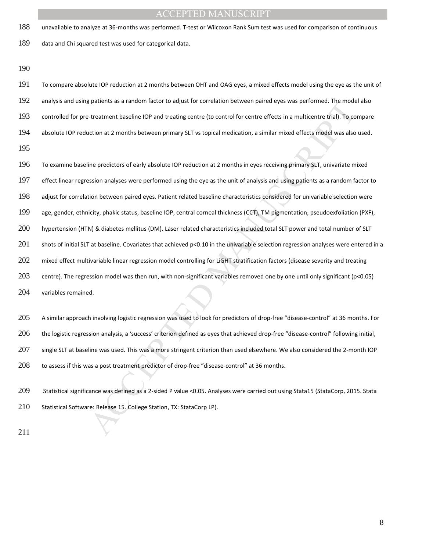unavailable to analyze at 36-months was performed. T-test or Wilcoxon Rank Sum test was used for comparison of continuous

data and Chi squared test was used for categorical data.

patients as a random tactor to adjust for correlation between pared eyes was performed. The mode<br>treatment baseline IQP and treating centre (to control for centre effects in a multicentre trial). To co<br>cition at 2 months b To compare absolute IOP reduction at 2 months between OHT and OAG eyes, a mixed effects model using the eye as the unit of analysis and using patients as a random factor to adjust for correlation between paired eyes was performed. The model also controlled for pre-treatment baseline IOP and treating centre (to control for centre effects in a multicentre trial). To compare absolute IOP reduction at 2 months between primary SLT vs topical medication, a similar mixed effects model was also used. To examine baseline predictors of early absolute IOP reduction at 2 months in eyes receiving primary SLT, univariate mixed 197 effect linear regression analyses were performed using the eye as the unit of analysis and using patients as a random factor to

adjust for correlation between paired eyes. Patient related baseline characteristics considered for univariable selection were

age, gender, ethnicity, phakic status, baseline IOP, central corneal thickness (CCT), TM pigmentation, pseudoexfoliation (PXF),

hypertension (HTN) & diabetes mellitus (DM). Laser related characteristics included total SLT power and total number of SLT

201 shots of initial SLT at baseline. Covariates that achieved  $p<0.10$  in the univariable selection regression analyses were entered in a

202 mixed effect multivariable linear regression model controlling for LiGHT stratification factors (disease severity and treating

203 centre). The regression model was then run, with non-significant variables removed one by one until only significant ( $p < 0.05$ )

variables remained.

205 A similar approach involving logistic regression was used to look for predictors of drop-free "disease-control" at 36 months. For the logistic regression analysis, a 'success' criterion defined as eyes that achieved drop-free "disease-control" following initial, single SLT at baseline was used. This was a more stringent criterion than used elsewhere. We also considered the 2-month IOP to assess if this was a post treatment predictor of drop-free "disease-control" at 36 months.

Statistical significance was defined as a 2-sided P value <0.05. Analyses were carried out using Stata15 (StataCorp, 2015. Stata 210 Statistical Software: Release 15. College Station, TX: StataCorp LP).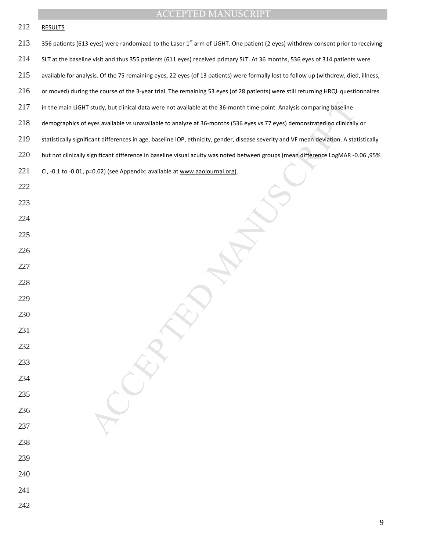- 213 356 patients (613 eyes) were randomized to the Laser 1<sup>st</sup> arm of LiGHT. One patient (2 eyes) withdrew consent prior to receiving
- SLT at the baseline visit and thus 355 patients (611 eyes) received primary SLT. At 36 months, 536 eyes of 314 patients were
- available for analysis. Of the 75 remaining eyes, 22 eyes (of 13 patients) were formally lost to follow up (withdrew, died, illness,
- or moved) during the course of the 3-year trial. The remaining 53 eyes (of 28 patients) were still returning HRQL questionnaires
- 217 in the main LiGHT study, but clinical data were not available at the 36-month time-point. Analysis comparing baseline
- demographics of eyes available vs unavailable to analyze at 36-months (536 eyes vs 77 eyes) demonstrated no clinically or
- 219 statistically significant differences in age, baseline IOP, ethnicity, gender, disease severity and VF mean deviation. A statistically
- but not clinically significant difference in baseline visual acuity was noted between groups (mean difference LogMAR -0.06 ,95%
- 221 CI, -0.1 to -0.01, p=0.02) (see Appendix: available at www.aaojournal.org).
- 
- study, but clinical data were not available at the 36-month time-point. Analysis comparing baseline<br>eyes available vs unavaliable to analyze at 36-months (536 eyes vs 77 eyes) demonstrated no clinicals<br>can differences in a
- 
- 

- 
- 
- 
- 

- 
- 
- 
- 
- 
- 
- 
- 
- 
- 
- 
- 
-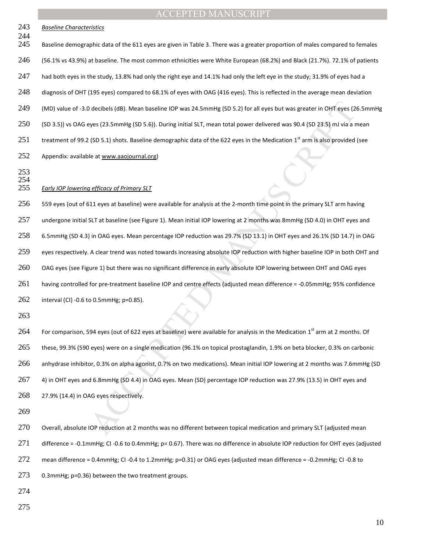|            | <b>ACCEPTED MANUSCRIPT</b>                                                                                                               |
|------------|------------------------------------------------------------------------------------------------------------------------------------------|
| 243<br>244 | <b>Baseline Characteristics</b>                                                                                                          |
| 245        | Baseline demographic data of the 611 eyes are given in Table 3. There was a greater proportion of males compared to females              |
| 246        | (56.1% vs 43.9%) at baseline. The most common ethnicities were White European (68.2%) and Black (21.7%). 72.1% of patients               |
| 247        | had both eyes in the study, 13.8% had only the right eye and 14.1% had only the left eye in the study; 31.9% of eyes had a               |
| 248        | diagnosis of OHT (195 eyes) compared to 68.1% of eyes with OAG (416 eyes). This is reflected in the average mean deviation               |
| 249        | (MD) value of -3.0 decibels (dB). Mean baseline IOP was 24.5mmHg (SD 5.2) for all eyes but was greater in OHT eyes (26.5mmHg             |
| 250        | (SD 3.5)) vs OAG eyes (23.5mmHg (SD 5.6)). During initial SLT, mean total power delivered was 90.4 (SD 23.5) mJ via a mean               |
| 251        | treatment of 99.2 (SD 5.1) shots. Baseline demographic data of the 622 eyes in the Medication 1 <sup>st</sup> arm is also provided (see  |
| 252        | Appendix: available at www.aaojournal.org)                                                                                               |
| 253<br>254 |                                                                                                                                          |
| 255        | <b>Early IOP lowering efficacy of Primary SLT</b>                                                                                        |
| 256        | 559 eyes (out of 611 eyes at baseline) were available for analysis at the 2-month time point in the primary SLT arm having               |
| 257        | undergone initial SLT at baseline (see Figure 1). Mean initial IOP lowering at 2 months was 8mmHg (SD 4.0) in OHT eyes and               |
| 258        | 6.5mmHg (SD 4.3) in OAG eyes. Mean percentage IOP reduction was 29.7% (SD 13.1) in OHT eyes and 26.1% (SD 14.7) in OAG                   |
| 259        | eyes respectively. A clear trend was noted towards increasing absolute IOP reduction with higher baseline IOP in both OHT and            |
| 260        | OAG eyes (see Figure 1) but there was no significant difference in early absolute IOP lowering between OHT and OAG eyes                  |
| 261        | having controlled for pre-treatment baseline IOP and centre effects (adjusted mean difference = -0.05mmHg; 95% confidence                |
| 262        | interval (CI) -0.6 to 0.5mmHg; p=0.85).                                                                                                  |
| 263        |                                                                                                                                          |
| 264        | For comparison, 594 eyes (out of 622 eyes at baseline) were available for analysis in the Medication 1 <sup>st</sup> arm at 2 months. Of |
| 265        | these, 99.3% (590 eyes) were on a single medication (96.1% on topical prostaglandin, 1.9% on beta blocker, 0.3% on carbonic              |
| 266        | anhydrase inhibitor, 0.3% on alpha agonist, 0.7% on two medications). Mean initial IOP lowering at 2 months was 7.6mmHg (SD              |
| 267        | 4) in OHT eyes and 6.8mmHg (SD 4.4) in OAG eyes. Mean (SD) percentage IOP reduction was 27.9% (13.5) in OHT eyes and                     |
| 268        | 27.9% (14.4) in OAG eyes respectively.                                                                                                   |
| 269        |                                                                                                                                          |
| 270        | Overall, absolute IOP reduction at 2 months was no different between topical medication and primary SLT (adjusted mean                   |

- 27.9% (14.4) in OAG eyes respectively.
- 

Overall, absolute IOP reduction at 2 months was no different between topical medication and primary SLT (adjusted mean difference = -0.1mmHg; CI -0.6 to 0.4mmHg; p= 0.67). There was no difference in absolute IOP reduction for OHT eyes (adjusted mean difference = 0.4mmHg; CI -0.4 to 1.2mmHg; p=0.31) or OAG eyes (adjusted mean difference = -0.2mmHg; CI -0.8 to 0.3mmHg; p=0.36) between the two treatment groups.

- 
-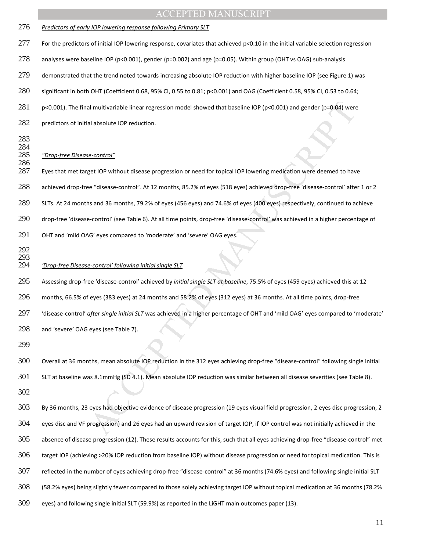# al multivariable linear regression model showed that baseline IOP (pc0.001) and gender (p=0.04) were<br>al absolute IOP reduction.<br>
al absolute IOP reduction.<br>
econtrol<sup>er</sup><br>
get IOP without disease progression or need for top ACCEPTED MANUSCRIPT *Predictors of early IOP lowering response following Primary SLT*  For the predictors of initial IOP lowering response, covariates that achieved p<0.10 in the initial variable selection regression analyses were baseline IOP (p<0.001), gender (p=0.002) and age (p=0.05). Within group (OHT vs OAG) sub-analysis demonstrated that the trend noted towards increasing absolute IOP reduction with higher baseline IOP (see Figure 1) was significant in both OHT (Coefficient 0.68, 95% CI, 0.55 to 0.81; p<0.001) and OAG (Coefficient 0.58, 95% CI, 0.53 to 0.64; 281 p<0.001). The final multivariable linear regression model showed that baseline IOP (p<0.001) and gender (p=0.04) were 282 predictors of initial absolute IOP reduction. 284<br>285 *"Drop-free Disease-control"*  Eyes that met target IOP without disease progression or need for topical IOP lowering medication were deemed to have achieved drop-free "disease-control". At 12 months, 85.2% of eyes (518 eyes) achieved drop-free 'disease-control' after 1 or 2 SLTs. At 24 months and 36 months, 79.2% of eyes (456 eyes) and 74.6% of eyes (400 eyes) respectively, continued to achieve drop-free 'disease-control' (see Table 6). At all time points, drop-free 'disease-control' was achieved in a higher percentage of OHT and 'mild OAG' eyes compared to 'moderate' and 'severe' OAG eyes. *'Drop-free Disease-control' following initial single SLT* Assessing drop-free 'disease-control' achieved by *initial single SLT at baseline*, 75.5% of eyes (459 eyes) achieved this at 12 months, 66.5% of eyes (383 eyes) at 24 months and 58.2% of eyes (312 eyes) at 36 months. At all time points, drop-free 'disease-control' *after single initial SLT* was achieved in a higher percentage of OHT and 'mild OAG' eyes compared to 'moderate' and 'severe' OAG eyes (see Table 7). Overall at 36 months, mean absolute IOP reduction in the 312 eyes achieving drop-free "disease-control" following single initial SLT at baseline was 8.1mmHg (SD 4.1). Mean absolute IOP reduction was similar between all disease severities (see Table 8). By 36 months, 23 eyes had objective evidence of disease progression (19 eyes visual field progression, 2 eyes disc progression, 2 eyes disc and VF progression) and 26 eyes had an upward revision of target IOP, if IOP control was not initially achieved in the absence of disease progression (12). These results accounts for this, such that all eyes achieving drop-free "disease-control" met target IOP (achieving >20% IOP reduction from baseline IOP) without disease progression or need for topical medication. This is reflected in the number of eyes achieving drop-free "disease-control" at 36 months (74.6% eyes) and following single initial SLT (58.2% eyes) being slightly fewer compared to those solely achieving target IOP without topical medication at 36 months (78.2% eyes) and following single initial SLT (59.9%) as reported in the LiGHT main outcomes paper (13).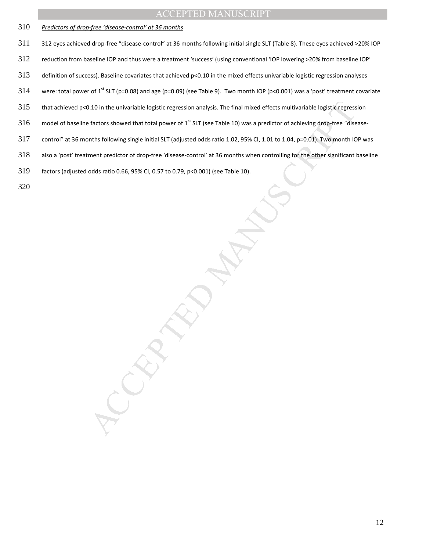- *Predictors of drop-free 'disease-control' at 36 months*
- 312 eyes achieved drop-free "disease-control" at 36 months following initial single SLT (Table 8). These eyes achieved >20% IOP
- reduction from baseline IOP and thus were a treatment 'success' (using conventional 'IOP lowering >20% from baseline IOP'
- 313 definition of success). Baseline covariates that achieved  $p<0.10$  in the mixed effects univariable logistic regression analyses
- 314 were: total power of 1<sup>st</sup> SLT (p=0.08) and age (p=0.09) (see Table 9). Two month IOP (p<0.001) was a 'post' treatment covariate
- 0.10 in the univariable logistic regression analysis. The final mixed effects multivariable logistic regressions<br>factors showed that total power of 1" SLT (see Table 10) was a predictor of achieving drop-free "disease"<br>int that achieved p<0.10 in the univariable logistic regression analysis. The final mixed effects multivariable logistic regression
- 316 model of baseline factors showed that total power of  $1^{st}$  SLT (see Table 10) was a predictor of achieving drop-free "disease-
- control" at 36 months following single initial SLT (adjusted odds ratio 1.02, 95% CI, 1.01 to 1.04, p=0.01). Two month IOP was
- also a 'post' treatment predictor of drop-free 'disease-control' at 36 months when controlling for the other significant baseline
- factors (adjusted odds ratio 0.66, 95% CI, 0.57 to 0.79, p<0.001) (see Table 10).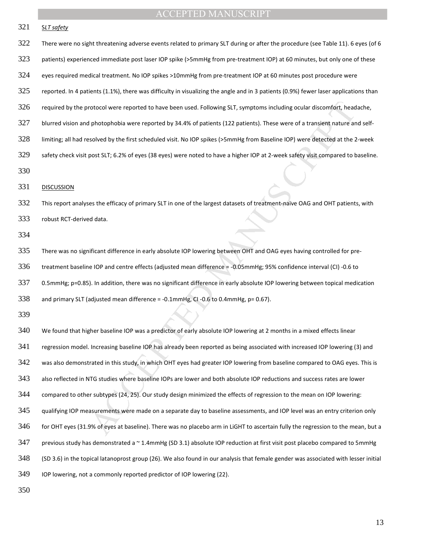| 321 | <b>SLT</b> safety                                                                                                                    |
|-----|--------------------------------------------------------------------------------------------------------------------------------------|
| 322 | There were no sight threatening adverse events related to primary SLT during or after the procedure (see Table 11). 6 eyes (of 6     |
| 323 | patients) experienced immediate post laser IOP spike (>5mmHg from pre-treatment IOP) at 60 minutes, but only one of these            |
| 324 | eyes required medical treatment. No IOP spikes >10mmHg from pre-treatment IOP at 60 minutes post procedure were                      |
| 325 | reported. In 4 patients (1.1%), there was difficulty in visualizing the angle and in 3 patients (0.9%) fewer laser applications than |
| 326 | required by the protocol were reported to have been used. Following SLT, symptoms including ocular discomfort, headache,             |
| 327 | blurred vision and photophobia were reported by 34.4% of patients (122 patients). These were of a transient nature and self-         |
| 328 | limiting; all had resolved by the first scheduled visit. No IOP spikes (>5mmHg from Baseline IOP) were detected at the 2-week        |
| 329 | safety check visit post SLT; 6.2% of eyes (38 eyes) were noted to have a higher IOP at 2-week safety visit compared to baseline.     |
| 330 |                                                                                                                                      |
| 331 | <b>DISCUSSION</b>                                                                                                                    |
| 332 | This report analyses the efficacy of primary SLT in one of the largest datasets of treatment-naïve OAG and OHT patients, with        |
| 333 | robust RCT-derived data.                                                                                                             |
| 334 |                                                                                                                                      |
| 335 | There was no significant difference in early absolute IOP lowering between OHT and OAG eyes having controlled for pre-               |
| 336 | treatment baseline IOP and centre effects (adjusted mean difference = -0.05mmHg; 95% confidence interval (CI) -0.6 to                |
| 337 | 0.5mmHg; p=0.85). In addition, there was no significant difference in early absolute IOP lowering between topical medication         |
| 338 | and primary SLT (adjusted mean difference = -0.1mmHg, CI -0.6 to 0.4mmHg, p= 0.67).                                                  |
| 339 |                                                                                                                                      |
| 340 | We found that higher baseline IOP was a predictor of early absolute IOP lowering at 2 months in a mixed effects linear               |
| 341 | regression model. Increasing baseline IOP has already been reported as being associated with increased IOP lowering (3) and          |
| 342 | was also demonstrated in this study, in which OHT eyes had greater IOP lowering from baseline compared to OAG eyes. This is          |
| 343 | also reflected in NTG studies where baseline IOPs are lower and both absolute IOP reductions and success rates are lower             |
| 344 | compared to other subtypes (24, 25). Our study design minimized the effects of regression to the mean on IOP lowering:               |
| 345 | qualifying IOP measurements were made on a separate day to baseline assessments, and IOP level was an entry criterion only           |
| 346 | for OHT eyes (31.9% of eyes at baseline). There was no placebo arm in LiGHT to ascertain fully the regression to the mean, but a     |
| 347 | previous study has demonstrated a ~1.4mmHg (SD 3.1) absolute IOP reduction at first visit post placebo compared to 5mmHg             |
| 348 | (SD 3.6) in the topical latanoprost group (26). We also found in our analysis that female gender was associated with lesser initial  |
| 349 | IOP lowering, not a commonly reported predictor of IOP lowering (22).                                                                |
| 350 |                                                                                                                                      |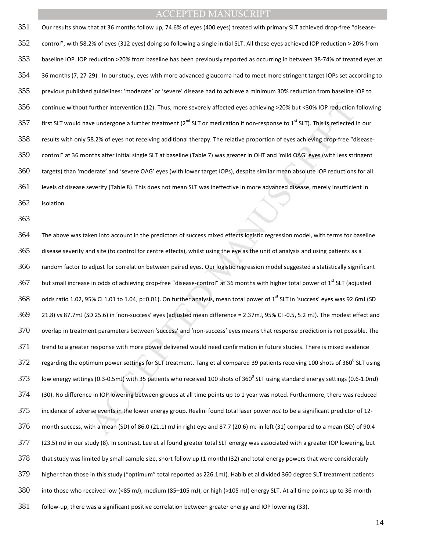Our results show that at 36 months follow up, 74.6% of eyes (400 eyes) treated with primary SLT achieved drop-free "disease-control", with 58.2% of eyes (312 eyes) doing so following a single initial SLT. All these eyes achieved IOP reduction > 20% from baseline IOP. IOP reduction >20% from baseline has been previously reported as occurring in between 38-74% of treated eyes at 36 months (7, 27-29). In our study, eyes with more advanced glaucoma had to meet more stringent target IOPs set according to previous published guidelines: 'moderate' or 'severe' disease had to achieve a minimum 30% reduction from baseline IOP to continue without further intervention (12). Thus, more severely affected eyes achieving >20% but <30% IOP reduction following first SLT would have undergone a further treatment ( $2^{nd}$  SLT or medication if non-response to  $1^{st}$  SLT). This is reflected in our results with only 58.2% of eyes not receiving additional therapy. The relative proportion of eyes achieving drop-free "disease-control" at 36 months after initial single SLT at baseline (Table 7) was greater in OHT and 'mild OAG' eyes (with less stringent targets) than 'moderate' and 'severe OAG' eyes (with lower target IOPs), despite similar mean absolute IOP reductions for all levels of disease severity (Table 8). This does not mean SLT was ineffective in more advanced disease, merely insufficient in isolation.

further intervention (12). Thus, more severely affected eyes achieving >20% but <30% lOP reduction<br>ve undergone a further treatment (2<sup>%</sup> SLT or medication if non-response to 1<sup>%</sup> SLT). This is reflected<br>is a seven on trec The above was taken into account in the predictors of success mixed effects logistic regression model, with terms for baseline disease severity and site (to control for centre effects), whilst using the eye as the unit of analysis and using patients as a random factor to adjust for correlation between paired eyes. Our logistic regression model suggested a statistically significant 367 but small increase in odds of achieving drop-free "disease-control" at 36 months with higher total power of 1<sup>st</sup> SLT (adjusted odds ratio 1.02, 95% CI 1.01 to 1.04, p=0.01). On further analysis, mean total power of 1<sup>st</sup> SLT in 'success' eyes was 92.6mJ (SD 21.8) vs 87.7mJ (SD 25.6) in 'non-success' eyes (adjusted mean difference = 2.37mJ, 95% CI -0.5, 5.2 mJ). The modest effect and overlap in treatment parameters between 'success' and 'non-success' eyes means that response prediction is not possible. The trend to a greater response with more power delivered would need confirmation in future studies. There is mixed evidence regarding the optimum power settings for SLT treatment. Tang et al compared 39 patients receiving 100 shots of 360<sup>0</sup> SLT using 373 Iow energy settings (0.3-0.5mJ) with 35 patients who received 100 shots of 360<sup>0</sup> SLT using standard energy settings (0.6-1.0mJ) (30). No difference in IOP lowering between groups at all time points up to 1 year was noted. Furthermore, there was reduced incidence of adverse events in the lower energy group. Realini found total laser power *not* to be a significant predictor of 12- month success, with a mean (SD) of 86.0 (21.1) mJ in right eye and 87.7 (20.6) mJ in left (31) compared to a mean (SD) of 90.4 (23.5) mJ in our study (8). In contrast, Lee et al found greater total SLT energy was associated with a greater IOP lowering, but that study was limited by small sample size, short follow up (1 month) (32) and total energy powers that were considerably higher than those in this study ("optimum" total reported as 226.1mJ). Habib et al divided 360 degree SLT treatment patients into those who received low (<85 mJ), medium (85–105 mJ), or high (>105 mJ) energy SLT. At all time points up to 36-month follow-up, there was a significant positive correlation between greater energy and IOP lowering (33).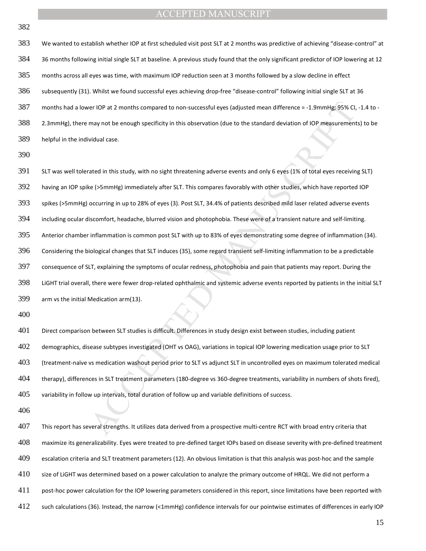We wanted to establish whether IOP at first scheduled visit post SLT at 2 months was predictive of achieving "disease-control" at 36 months following initial single SLT at baseline. A previous study found that the only significant predictor of IOP lowering at 12 months across all eyes was time, with maximum IOP reduction seen at 3 months followed by a slow decline in effect subsequently (31). Whilst we found successful eyes achieving drop-free "disease-control" following initial single SLT at 36 months had a lower IOP at 2 months compared to non-successful eyes (adjusted mean difference = -1.9mmHg; 95% CI, -1.4 to - 2.3mmHg), there may not be enough specificity in this observation (due to the standard deviation of IOP measurements) to be helpful in the individual case.

ver 10P at 2 months compared to non-successful eyes (adjusted mean difference = -1.9mmHg; 95% CI,<br>may not be enough specificity in this observation (due to the standard deviation of 10P measurement<br>vidual case.<br>Notial case SLT was well tolerated in this study, with no sight threatening adverse events and only 6 eyes (1% of total eyes receiving SLT) having an IOP spike (>5mmHg) immediately after SLT. This compares favorably with other studies, which have reported IOP spikes (>5mmHg) occurring in up to 28% of eyes (3). Post SLT, 34.4% of patients described mild laser related adverse events including ocular discomfort, headache, blurred vision and photophobia. These were of a transient nature and self-limiting. Anterior chamber inflammation is common post SLT with up to 83% of eyes demonstrating some degree of inflammation (34). Considering the biological changes that SLT induces (35), some regard transient self-limiting inflammation to be a predictable consequence of SLT, explaining the symptoms of ocular redness, photophobia and pain that patients may report. During the LiGHT trial overall, there were fewer drop-related ophthalmic and systemic adverse events reported by patients in the initial SLT arm vs the initial Medication arm(13). 

Direct comparison between SLT studies is difficult. Differences in study design exist between studies, including patient demographics, disease subtypes investigated (OHT vs OAG), variations in topical IOP lowering medication usage prior to SLT (treatment-naïve vs medication washout period prior to SLT vs adjunct SLT in uncontrolled eyes on maximum tolerated medical therapy), differences in SLT treatment parameters (180-degree vs 360-degree treatments, variability in numbers of shots fired), variability in follow up intervals, total duration of follow up and variable definitions of success.

This report has several strengths. It utilizes data derived from a prospective multi-centre RCT with broad entry criteria that maximize its generalizability. Eyes were treated to pre-defined target IOPs based on disease severity with pre-defined treatment escalation criteria and SLT treatment parameters (12). An obvious limitation is that this analysis was post-hoc and the sample 410 size of LiGHT was determined based on a power calculation to analyze the primary outcome of HRQL. We did not perform a 411 post-hoc power calculation for the IOP lowering parameters considered in this report, since limitations have been reported with such calculations (36). Instead, the narrow (<1mmHg) confidence intervals for our pointwise estimates of differences in early IOP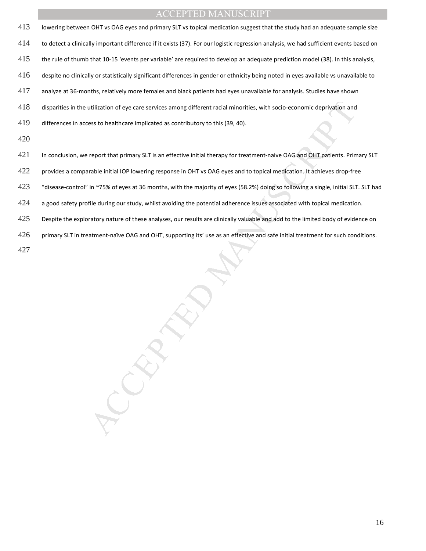| lowering between OHT vs OAG eyes and primary SLT vs topical medication suggest that the study had an adequate sample size              |
|----------------------------------------------------------------------------------------------------------------------------------------|
| to detect a clinically important difference if it exists (37). For our logistic regression analysis, we had sufficient events based on |
| the rule of thumb that 10-15 'events per variable' are required to develop an adequate prediction model (38). In this analysis,        |
| despite no clinically or statistically significant differences in gender or ethnicity being noted in eyes available vs unavailable to  |
| analyze at 36-months, relatively more females and black patients had eyes unavailable for analysis. Studies have shown                 |
| disparities in the utilization of eye care services among different racial minorities, with socio-economic deprivation and             |
| differences in access to healthcare implicated as contributory to this (39, 40).                                                       |
|                                                                                                                                        |
| In conclusion, we report that primary SLT is an effective initial therapy for treatment-naive OAG and OHT patients. Primary SLT        |
| provides a comparable initial IOP lowering response in OHT vs OAG eyes and to topical medication. It achieves drop-free                |
| "disease-control" in ~75% of eyes at 36 months, with the majority of eyes (58.2%) doing so following a single, initial SLT. SLT had    |
| a good safety profile during our study, whilst avoiding the potential adherence issues associated with topical medication.             |
| Despite the exploratory nature of these analyses, our results are clinically valuable and add to the limited body of evidence on       |
| primary SLT in treatment-naïve OAG and OHT, supporting its' use as an effective and safe initial treatment for such conditions.        |
|                                                                                                                                        |

- a good safety profile during our study, whilst avoiding the potential adherence issues associated with topical medication.
- 425 Despite the exploratory nature of these analyses, our results are clinically valuable and add to the limited body of evidence on
- 426 primary SLT in treatment-naïve OAG and OHT, supporting its' use as an effective and safe initial treatment for such conditions.
-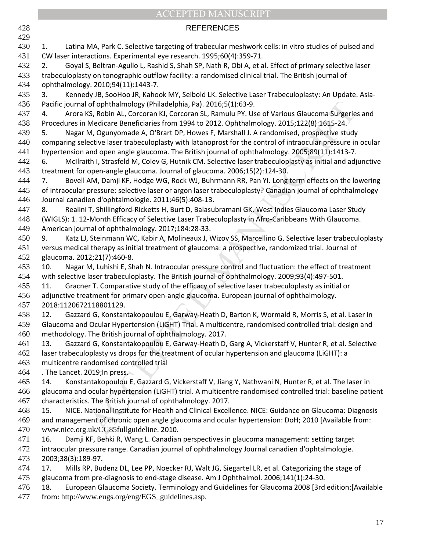|            | <b>ACCEPTED MANUSCRIPT</b>                                                                                                                                                                                         |
|------------|--------------------------------------------------------------------------------------------------------------------------------------------------------------------------------------------------------------------|
| 428        | <b>REFERENCES</b>                                                                                                                                                                                                  |
| 429        |                                                                                                                                                                                                                    |
| 430        | Latina MA, Park C. Selective targeting of trabecular meshwork cells: in vitro studies of pulsed and<br>1.                                                                                                          |
| 431        | CW laser interactions. Experimental eye research. 1995;60(4):359-71.                                                                                                                                               |
| 432        | Goyal S, Beltran-Agullo L, Rashid S, Shah SP, Nath R, Obi A, et al. Effect of primary selective laser<br>2.                                                                                                        |
| 433        | trabeculoplasty on tonographic outflow facility: a randomised clinical trial. The British journal of                                                                                                               |
| 434        | ophthalmology. 2010;94(11):1443-7.                                                                                                                                                                                 |
| 435        | Kennedy JB, SooHoo JR, Kahook MY, Seibold LK. Selective Laser Trabeculoplasty: An Update. Asia-<br>3.                                                                                                              |
| 436        | Pacific journal of ophthalmology (Philadelphia, Pa). 2016;5(1):63-9.                                                                                                                                               |
| 437        | Arora KS, Robin AL, Corcoran KJ, Corcoran SL, Ramulu PY. Use of Various Glaucoma Surgeries and<br>4.                                                                                                               |
| 438        | Procedures in Medicare Beneficiaries from 1994 to 2012. Ophthalmology. 2015;122(8):1615-24.                                                                                                                        |
| 439        | Nagar M, Ogunyomade A, O'Brart DP, Howes F, Marshall J. A randomised, prospective study<br>5.                                                                                                                      |
| 440        | comparing selective laser trabeculoplasty with latanoprost for the control of intraocular pressure in ocular                                                                                                       |
| 441        | hypertension and open angle glaucoma. The British journal of ophthalmology. 2005;89(11):1413-7.                                                                                                                    |
| 442        | McIlraith I, Strasfeld M, Colev G, Hutnik CM. Selective laser trabeculoplasty as initial and adjunctive<br>6.                                                                                                      |
| 443        | treatment for open-angle glaucoma. Journal of glaucoma. 2006;15(2):124-30.                                                                                                                                         |
| 444<br>445 | Bovell AM, Damji KF, Hodge WG, Rock WJ, Buhrmann RR, Pan YI. Long term effects on the lowering<br>7.<br>of intraocular pressure: selective laser or argon laser trabeculoplasty? Canadian journal of ophthalmology |
| 446        | Journal canadien d'ophtalmologie. 2011;46(5):408-13.                                                                                                                                                               |
| 447        | Realini T, Shillingford-Ricketts H, Burt D, Balasubramani GK. West Indies Glaucoma Laser Study<br>8.                                                                                                               |
| 448        | (WIGLS): 1. 12-Month Efficacy of Selective Laser Trabeculoplasty in Afro-Caribbeans With Glaucoma.                                                                                                                 |
| 449        | American journal of ophthalmology. 2017;184:28-33.                                                                                                                                                                 |
| 450        | Katz LJ, Steinmann WC, Kabir A, Molineaux J, Wizov SS, Marcellino G. Selective laser trabeculoplasty<br>9.                                                                                                         |
| 451        | versus medical therapy as initial treatment of glaucoma: a prospective, randomized trial. Journal of                                                                                                               |
| 452        | glaucoma. 2012;21(7):460-8.                                                                                                                                                                                        |
| 453        | Nagar M, Luhishi E, Shah N. Intraocular pressure control and fluctuation: the effect of treatment<br>10.                                                                                                           |
| 454        | with selective laser trabeculoplasty. The British journal of ophthalmology. 2009;93(4):497-501.                                                                                                                    |
| 455        | Gracner T. Comparative study of the efficacy of selective laser trabeculoplasty as initial or<br>11.                                                                                                               |
| 456        | adjunctive treatment for primary open-angle glaucoma. European journal of ophthalmology.                                                                                                                           |
| 457        | 2018:1120672118801129.                                                                                                                                                                                             |
| 458        | Gazzard G, Konstantakopoulou E, Garway-Heath D, Barton K, Wormald R, Morris S, et al. Laser in<br>12.                                                                                                              |
| 459        | Glaucoma and Ocular Hypertension (LiGHT) Trial. A multicentre, randomised controlled trial: design and                                                                                                             |
| 460        | methodology. The British journal of ophthalmology. 2017.                                                                                                                                                           |
| 461        | Gazzard G, Konstantakopoulou E, Garway-Heath D, Garg A, Vickerstaff V, Hunter R, et al. Selective<br>13.                                                                                                           |
| 462        | laser trabeculoplasty vs drops for the treatment of ocular hypertension and glaucoma (LiGHT): a                                                                                                                    |
| 463        | multicentre randomised controlled trial                                                                                                                                                                            |
| 464        | . The Lancet. 2019; In press.                                                                                                                                                                                      |
| 465        | Konstantakopoulou E, Gazzard G, Vickerstaff V, Jiang Y, Nathwani N, Hunter R, et al. The laser in<br>14.                                                                                                           |
| 466<br>467 | glaucoma and ocular hypertension (LiGHT) trial. A multicentre randomised controlled trial: baseline patient<br>characteristics. The British journal of ophthalmology. 2017.                                        |
| 468        | NICE. National Institute for Health and Clinical Excellence. NICE: Guidance on Glaucoma: Diagnosis<br>15.                                                                                                          |
| 469        | and management of chronic open angle glaucoma and ocular hypertension: DoH; 2010 [Available from:                                                                                                                  |
| 470        | www.nice.org.uk/CG85fullguideline. 2010.                                                                                                                                                                           |
| 471        | Damji KF, Behki R, Wang L. Canadian perspectives in glaucoma management: setting target<br>16.                                                                                                                     |
| 472        | intraocular pressure range. Canadian journal of ophthalmology Journal canadien d'ophtalmologie.                                                                                                                    |
| 473        | 2003;38(3):189-97.                                                                                                                                                                                                 |
| 474        | Mills RP, Budenz DL, Lee PP, Noecker RJ, Walt JG, Siegartel LR, et al. Categorizing the stage of<br>17.                                                                                                            |
| 475        | glaucoma from pre-diagnosis to end-stage disease. Am J Ophthalmol. 2006;141(1):24-30.                                                                                                                              |
| 476        | European Glaucoma Society. Terminology and Guidelines for Glaucoma 2008 [3rd edition: [Available<br>18.                                                                                                            |
| 477        | from: http://www.eugs.org/eng/EGS_guidelines.asp.                                                                                                                                                                  |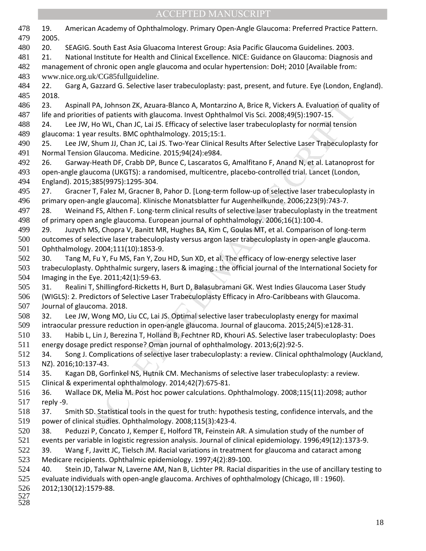| 478        | 19.<br>American Academy of Ophthalmology. Primary Open-Angle Glaucoma: Preferred Practice Pattern.                                                     |
|------------|--------------------------------------------------------------------------------------------------------------------------------------------------------|
| 479        | 2005.                                                                                                                                                  |
| 480        | 20.<br>SEAGIG. South East Asia Gluacoma Interest Group: Asia Pacific Glaucoma Guidelines. 2003.                                                        |
| 481        | National Institute for Health and Clinical Excellence. NICE: Guidance on Glaucoma: Diagnosis and<br>21.                                                |
| 482        | management of chronic open angle glaucoma and ocular hypertension: DoH; 2010 [Available from:                                                          |
| 483<br>484 | www.nice.org.uk/CG85fullguideline.<br>22.                                                                                                              |
| 485        | Garg A, Gazzard G. Selective laser trabeculoplasty: past, present, and future. Eye (London, England).<br>2018.                                         |
| 486        | 23.<br>Aspinall PA, Johnson ZK, Azuara-Blanco A, Montarzino A, Brice R, Vickers A. Evaluation of quality of                                            |
| 487        | life and priorities of patients with glaucoma. Invest Ophthalmol Vis Sci. 2008;49(5):1907-15.                                                          |
| 488        | Lee JW, Ho WL, Chan JC, Lai JS. Efficacy of selective laser trabeculoplasty for normal tension<br>24.                                                  |
| 489        | glaucoma: 1 year results. BMC ophthalmology. 2015;15:1.                                                                                                |
| 490        | Lee JW, Shum JJ, Chan JC, Lai JS. Two-Year Clinical Results After Selective Laser Trabeculoplasty for<br>25.                                           |
| 491        | Normal Tension Glaucoma. Medicine. 2015;94(24):e984.                                                                                                   |
| 492        | Garway-Heath DF, Crabb DP, Bunce C, Lascaratos G, Amalfitano F, Anand N, et al. Latanoprost for<br>26.                                                 |
| 493        | open-angle glaucoma (UKGTS): a randomised, multicentre, placebo-controlled trial. Lancet (London,                                                      |
| 494        | England). 2015;385(9975):1295-304.                                                                                                                     |
| 495        | Gracner T, Falez M, Gracner B, Pahor D. [Long-term follow-up of selective laser trabeculoplasty in<br>27.                                              |
| 496        | primary open-angle glaucoma]. Klinische Monatsblatter fur Augenheilkunde. 2006;223(9):743-7.                                                           |
| 497        | Weinand FS, Althen F. Long-term clinical results of selective laser trabeculoplasty in the treatment<br>28.                                            |
| 498        | of primary open angle glaucoma. European journal of ophthalmology. 2006;16(1):100-4.                                                                   |
| 499        | Juzych MS, Chopra V, Banitt MR, Hughes BA, Kim C, Goulas MT, et al. Comparison of long-term<br>29.                                                     |
| 500        | outcomes of selective laser trabeculoplasty versus argon laser trabeculoplasty in open-angle glaucoma.                                                 |
| 501        | Ophthalmology. 2004;111(10):1853-9.                                                                                                                    |
| 502<br>503 | Tang M, Fu Y, Fu MS, Fan Y, Zou HD, Sun XD, et al. The efficacy of low-energy selective laser<br>30.                                                   |
| 504        | trabeculoplasty. Ophthalmic surgery, lasers & imaging : the official journal of the International Society for<br>Imaging in the Eye. 2011;42(1):59-63. |
| 505        | Realini T, Shillingford-Ricketts H, Burt D, Balasubramani GK. West Indies Glaucoma Laser Study<br>31.                                                  |
| 506        | (WIGLS): 2. Predictors of Selective Laser Trabeculoplasty Efficacy in Afro-Caribbeans with Glaucoma.                                                   |
| 507        | Journal of glaucoma. 2018.                                                                                                                             |
| 508        | Lee JW, Wong MO, Liu CC, Lai JS. Optimal selective laser trabeculoplasty energy for maximal<br>32.                                                     |
| 509        | intraocular pressure reduction in open-angle glaucoma. Journal of glaucoma. 2015;24(5):e128-31.                                                        |
| 510        | Habib L, Lin J, Berezina T, Holland B, Fechtner RD, Khouri AS. Selective laser trabeculoplasty: Does<br>33.                                            |
| 511        | energy dosage predict response? Oman journal of ophthalmology. 2013;6(2):92-5.                                                                         |
| 512        | Song J. Complications of selective laser trabeculoplasty: a review. Clinical ophthalmology (Auckland,<br>34.                                           |
| 513        | NZ). 2016;10:137-43.                                                                                                                                   |
| 514        | Kagan DB, Gorfinkel NS, Hutnik CM. Mechanisms of selective laser trabeculoplasty: a review.<br>35.                                                     |
| 515        | Clinical & experimental ophthalmology. 2014;42(7):675-81.                                                                                              |
| 516        | Wallace DK, Melia M. Post hoc power calculations. Ophthalmology. 2008;115(11):2098; author<br>36.                                                      |
| 517        | reply -9.                                                                                                                                              |
| 518        | Smith SD. Statistical tools in the quest for truth: hypothesis testing, confidence intervals, and the<br>37.                                           |
| 519        | power of clinical studies. Ophthalmology. 2008;115(3):423-4.                                                                                           |
| 520        | Peduzzi P, Concato J, Kemper E, Holford TR, Feinstein AR. A simulation study of the number of<br>38.                                                   |
| 521        | events per variable in logistic regression analysis. Journal of clinical epidemiology. 1996;49(12):1373-9.                                             |
| 522        | Wang F, Javitt JC, Tielsch JM. Racial variations in treatment for glaucoma and cataract among<br>39.                                                   |
| 523        | Medicare recipients. Ophthalmic epidemiology. 1997;4(2):89-100.                                                                                        |
| 524        | Stein JD, Talwar N, Laverne AM, Nan B, Lichter PR. Racial disparities in the use of ancillary testing to<br>40.                                        |
| 525        | evaluate individuals with open-angle glaucoma. Archives of ophthalmology (Chicago, Ill: 1960).                                                         |
| 526<br>527 | 2012;130(12):1579-88.                                                                                                                                  |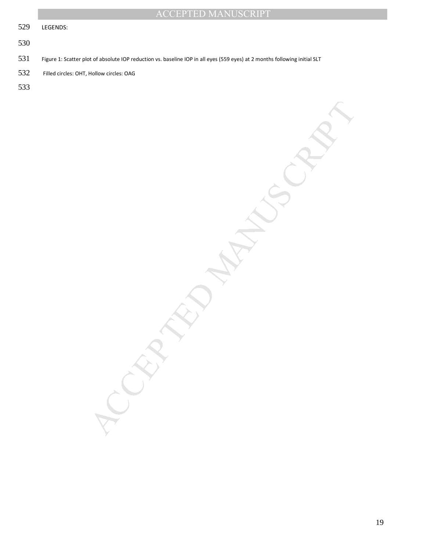|     | <b>ACCEPTED MANUSCRIPT</b>                                                                                                 |
|-----|----------------------------------------------------------------------------------------------------------------------------|
| 529 | LEGENDS:                                                                                                                   |
| 530 |                                                                                                                            |
| 531 | Figure 1: Scatter plot of absolute IOP reduction vs. baseline IOP in all eyes (559 eyes) at 2 months following initial SLT |
| 532 | Filled circles: OHT, Hollow circles: OAG                                                                                   |
| 533 |                                                                                                                            |
|     | EN<br>$\mathcal{O}$                                                                                                        |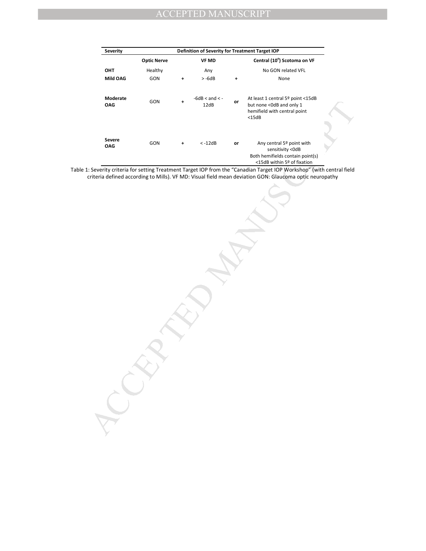| Definition of Severity for Treatment Target IOP<br>Severity |                    |   |                          |    |                                                                                                                                                                                                                             |  |
|-------------------------------------------------------------|--------------------|---|--------------------------|----|-----------------------------------------------------------------------------------------------------------------------------------------------------------------------------------------------------------------------------|--|
|                                                             | <b>Optic Nerve</b> |   | <b>VF MD</b>             |    | Central (10°) Scotoma on VF                                                                                                                                                                                                 |  |
| OHT                                                         | Healthy            |   | Any                      |    | No GON related VFL                                                                                                                                                                                                          |  |
| Mild OAG                                                    | GON                | + | $> -6dB$                 | +  | None                                                                                                                                                                                                                        |  |
| Moderate<br>OAG                                             | GON                |   | $-6dB < and < -$<br>12dB | or | At least 1 central 5 <sup>o</sup> point <15dB<br>but none < 0dB and only 1<br>hemifield with central point<br>$<$ 15dB                                                                                                      |  |
|                                                             |                    |   |                          |    |                                                                                                                                                                                                                             |  |
| Severe<br>OAG                                               | GON                |   | $< -12dB$                | or | Any central 5 <sup>°</sup> point with<br>sensitivity < 0dB<br>Both hemifields contain point(s)                                                                                                                              |  |
|                                                             |                    |   |                          |    | <15dB within 5º of fixation                                                                                                                                                                                                 |  |
|                                                             |                    |   |                          |    | : Severity criteria for setting Treatment Target IOP from the "Canadian Target IOP Workshop" (with central field<br>criteria defined according to Mills). VF MD: Visual field mean deviation GON: Glaucoma optic neuropathy |  |
|                                                             |                    |   |                          |    |                                                                                                                                                                                                                             |  |
|                                                             |                    |   |                          |    |                                                                                                                                                                                                                             |  |
|                                                             |                    |   |                          |    |                                                                                                                                                                                                                             |  |
|                                                             |                    |   |                          |    |                                                                                                                                                                                                                             |  |
|                                                             |                    |   |                          |    |                                                                                                                                                                                                                             |  |
|                                                             |                    |   |                          |    |                                                                                                                                                                                                                             |  |
|                                                             |                    |   |                          |    |                                                                                                                                                                                                                             |  |
|                                                             |                    |   |                          |    |                                                                                                                                                                                                                             |  |
|                                                             |                    |   |                          |    |                                                                                                                                                                                                                             |  |
|                                                             |                    |   |                          |    |                                                                                                                                                                                                                             |  |
|                                                             |                    |   |                          |    |                                                                                                                                                                                                                             |  |
|                                                             |                    |   |                          |    |                                                                                                                                                                                                                             |  |
|                                                             |                    |   |                          |    |                                                                                                                                                                                                                             |  |
|                                                             |                    |   |                          |    |                                                                                                                                                                                                                             |  |
|                                                             |                    |   |                          |    |                                                                                                                                                                                                                             |  |
|                                                             |                    |   |                          |    |                                                                                                                                                                                                                             |  |
|                                                             |                    |   |                          |    |                                                                                                                                                                                                                             |  |
|                                                             |                    |   |                          |    |                                                                                                                                                                                                                             |  |
|                                                             |                    |   |                          |    |                                                                                                                                                                                                                             |  |
|                                                             |                    |   |                          |    |                                                                                                                                                                                                                             |  |
|                                                             |                    |   |                          |    |                                                                                                                                                                                                                             |  |

Table 1: Severity criteria for setting Treatment Target IOP from the "Canadian Target IOP Workshop" (with central field criteria defined according to Mills). VF MD: Visual field mean deviation GON: Glaucoma optic neuropathy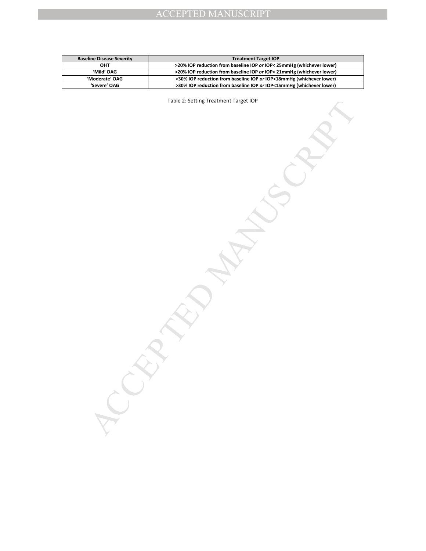| <b>Baseline Disease Severity</b> | <b>Treatment Target IOP</b>                                           |
|----------------------------------|-----------------------------------------------------------------------|
| OHT                              | >20% IOP reduction from baseline IOP or IOP< 25mmHg (whichever lower) |
| 'Mild' OAG                       | >20% IOP reduction from baseline IOP or IOP< 21mmHg (whichever lower) |
| 'Moderate' OAG                   | >30% IOP reduction from baseline IOP or IOP<18mmHg (whichever lower)  |
| 'Severe' OAG                     | >30% IOP reduction from baseline IOP or IOP<15mmHg (whichever lower)  |

MANUSCRIPT ACCEPTED MANUSCRIPT Table 2: Setting Treatment Target IOP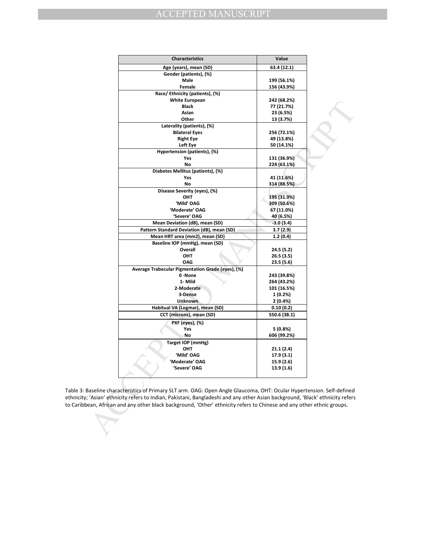| <b>Characteristics</b>                                                                                              | Value        |  |
|---------------------------------------------------------------------------------------------------------------------|--------------|--|
| Age (years), mean (SD)                                                                                              | 63.4 (12.1)  |  |
| Gender (patients), (%)                                                                                              |              |  |
| Male                                                                                                                | 199 (56.1%)  |  |
| Female                                                                                                              | 156 (43.9%)  |  |
| Race/ Ethnicity (patients), (%)                                                                                     |              |  |
| <b>White European</b>                                                                                               | 242 (68.2%)  |  |
| <b>Black</b>                                                                                                        | 77 (21.7%)   |  |
| Asian                                                                                                               | 23 (6.5%)    |  |
| Other                                                                                                               | 13 (3.7%)    |  |
| Laterality (patients), (%)                                                                                          |              |  |
| <b>Bilateral Eyes</b>                                                                                               | 256 (72.1%)  |  |
| <b>Right Eye</b>                                                                                                    | 49 (13.8%)   |  |
| Left Eye                                                                                                            | 50 (14.1%)   |  |
| Hypertension (patients), (%)                                                                                        |              |  |
| Yes                                                                                                                 | 131 (36.9%)  |  |
| No                                                                                                                  | 224 (63.1%)  |  |
| Diabetes Mellitus (patients), (%)                                                                                   |              |  |
| Yes                                                                                                                 | 41 (11.6%)   |  |
| No                                                                                                                  | 314 (88.5%)  |  |
| Disease Severity (eyes), (%)                                                                                        |              |  |
| OHT                                                                                                                 | 195 (31.9%)  |  |
| 'Mild' OAG                                                                                                          | 309 (50.6%)  |  |
| 'Moderate' OAG                                                                                                      | 67 (11.0%)   |  |
| 'Severe' OAG                                                                                                        | 40 (6.5%)    |  |
| Mean Deviation (dB), mean (SD)                                                                                      | $-3.0(3.4)$  |  |
| Pattern Standard Deviation (dB), mean (SD)                                                                          | 3.7 (2.9)    |  |
| Mean HRT area (mm2), mean (SD)                                                                                      | 1.2(0.4)     |  |
| Baseline IOP (mmHg), mean (SD)                                                                                      |              |  |
| Overall                                                                                                             | 24.5 (5.2)   |  |
| OHT                                                                                                                 | 26.5 (3.5)   |  |
| <b>OAG</b>                                                                                                          | 23.5 (5.6)   |  |
| Average Trabecular Pigmentation Grade (eyes), (%)                                                                   |              |  |
| 0-None                                                                                                              | 243 (39.8%)  |  |
| 1- Mild                                                                                                             | 264 (43.2%)  |  |
| 2-Moderate                                                                                                          | 101 (16.5%)  |  |
| 3-Dense                                                                                                             | 1 (0.2%)     |  |
| <b>Unknown</b>                                                                                                      | 2 (0.4%)     |  |
| Habitual VA (Logmar), mean (SD)                                                                                     | 0.10(0.2)    |  |
| CCT (microns), mean (SD)                                                                                            | 550.6 (38.1) |  |
| PXF (eyes), (%)                                                                                                     |              |  |
| Yes                                                                                                                 | 5 (0.8%)     |  |
| Νo                                                                                                                  | 606 (99.2%)  |  |
| Target IOP (mmHg)                                                                                                   |              |  |
| OHT                                                                                                                 | 21.1 (2.4)   |  |
| 'Mild' OAG                                                                                                          | 17.9 (3.1)   |  |
| 'Moderate' OAG                                                                                                      | 15.9 (2.6)   |  |
| 'Severe' OAG                                                                                                        | 13.9 (1.6)   |  |
|                                                                                                                     |              |  |
| aseline characteristics of Primary SLT arm. OAG: Open Angle Glaucoma, OHT: Ocular Hypertension. Self-defined        |              |  |
| 'Asian' ethnicity refers to Indian, Pakistani, Bangladeshi and any other Asian background, 'Black' ethnicity refers |              |  |
| ean, African and any other black background, 'Other' ethnicity refers to Chinese and any other ethnic groups.       |              |  |
|                                                                                                                     |              |  |
|                                                                                                                     |              |  |
|                                                                                                                     |              |  |
|                                                                                                                     |              |  |
|                                                                                                                     |              |  |

Table 3: Baseline characteristics of Primary SLT arm. OAG: Open Angle Glaucoma, OHT: Ocular Hypertension. Self-defined ethnicity; 'Asian' ethnicity refers to Indian, Pakistani, Bangladeshi and any other Asian background, 'Black' ethnicity refers to Caribbean, African and any other black background, 'Other' ethnicity refers to Chinese and any other ethnic groups.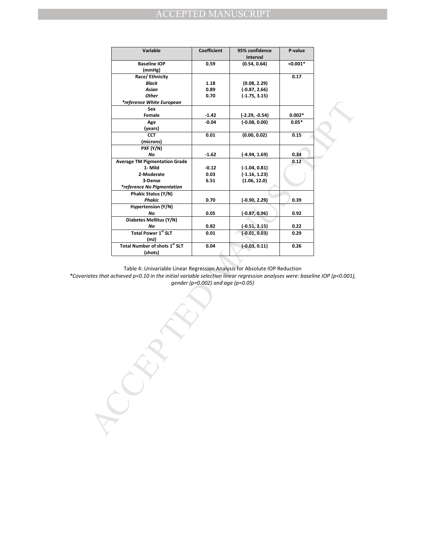| Variable                                                                                                                                                                                 | Coefficient                       | 95% confidence<br>Interval      | P-value      |  |
|------------------------------------------------------------------------------------------------------------------------------------------------------------------------------------------|-----------------------------------|---------------------------------|--------------|--|
| <b>Baseline IOP</b>                                                                                                                                                                      | 0.59                              | (0.54, 0.64)                    | $< 0.001*$   |  |
| (mmHg)                                                                                                                                                                                   |                                   |                                 |              |  |
| Race/Ethnicity                                                                                                                                                                           |                                   |                                 | 0.17         |  |
| <b>Black</b><br>Asian                                                                                                                                                                    | 1.18<br>0.89                      | (0.08, 2.29)<br>$(-0.87, 2.66)$ |              |  |
| <b>Other</b>                                                                                                                                                                             | 0.70                              | $(-1.75, 3.15)$                 |              |  |
| *reference White European                                                                                                                                                                |                                   |                                 |              |  |
| Sex                                                                                                                                                                                      |                                   |                                 |              |  |
| Female                                                                                                                                                                                   | $-1.42$                           | $(-2.29, -0.54)$                | $0.002*$     |  |
| Age                                                                                                                                                                                      | $-0.04$                           | $(-0.08, 0.00)$                 | $0.05*$      |  |
| (years)                                                                                                                                                                                  |                                   |                                 |              |  |
| <b>CCT</b>                                                                                                                                                                               | 0.01                              | (0.00, 0.02)                    | 0.15         |  |
| (microns)                                                                                                                                                                                |                                   |                                 |              |  |
| PXF (Y/N)                                                                                                                                                                                |                                   |                                 |              |  |
| No<br><b>Average TM Pigmentation Grade</b>                                                                                                                                               | $-1.62$                           | $(-4.94, 1.69)$                 | 0.34<br>0.12 |  |
| 1- Mild                                                                                                                                                                                  | $-0.12$                           | $(-1.04, 0.81)$                 |              |  |
| 2-Moderate                                                                                                                                                                               | 0.03                              | $(-1.16, 1.23)$                 |              |  |
| 3-Dense                                                                                                                                                                                  | 6.51                              | (1.06, 12.0)                    |              |  |
| *reference No Pigmentation                                                                                                                                                               |                                   |                                 |              |  |
| Phakic Status (Y/N)                                                                                                                                                                      |                                   |                                 |              |  |
| Phakic                                                                                                                                                                                   | 0.70                              | $(-0.90, 2.29)$                 | 0.39         |  |
| Hypertension (Y/N)                                                                                                                                                                       |                                   |                                 |              |  |
| No                                                                                                                                                                                       | 0.05                              | $(-0.87, 0.96)$                 | 0.92         |  |
| Diabetes Mellitus (Y/N)                                                                                                                                                                  |                                   |                                 |              |  |
| No                                                                                                                                                                                       | 0.82                              | $(-0.51, 2.15)$                 | 0.22         |  |
| <b>Total Power 1st SLT</b>                                                                                                                                                               | 0.01                              | $(-0.01, 0.03)$                 | 0.29         |  |
| (mJ)                                                                                                                                                                                     |                                   |                                 |              |  |
| Total Number of shots 1 <sup>st</sup> SLT                                                                                                                                                | 0.04                              | $(-0.03, 0.11)$                 | 0.26         |  |
| (shots)                                                                                                                                                                                  |                                   |                                 |              |  |
| Table 4: Univariable Linear Regression Analysis for Absolute IOP Reduction<br>achieved p<0.10 in the initial variable selection linear regression analyses were: baseline IOP (p<0.001), | gender (p=0.002) and age (p=0.05) |                                 |              |  |
|                                                                                                                                                                                          |                                   |                                 |              |  |

*\*Covariates that achieved p<0.10 in the initial variable selection linear regression analyses were: baseline IOP (p<0.001), gender (p=0.002) and age (p=0.05)*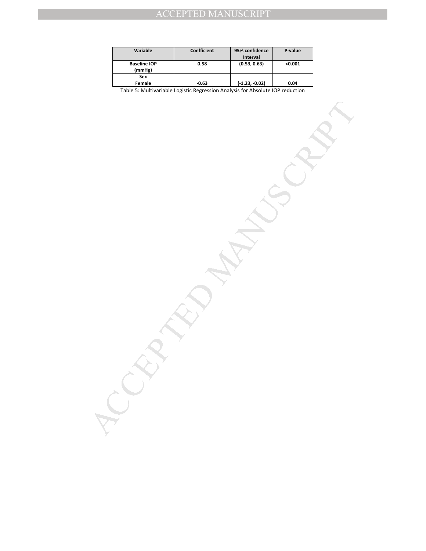| Variable                      | Coefficient | 95% confidence   | P-value |
|-------------------------------|-------------|------------------|---------|
|                               |             | <b>Interval</b>  |         |
| <b>Baseline IOP</b><br>(mmHg) | 0.58        | (0.53, 0.63)     | < 0.001 |
| Sex                           |             |                  |         |
| Female                        | $-0.63$     | $(-1.23, -0.02)$ | 0.04    |

Table 5: Multivariable Logistic Regression Analysis for Absolute IOP reduction

MANUSCRIPT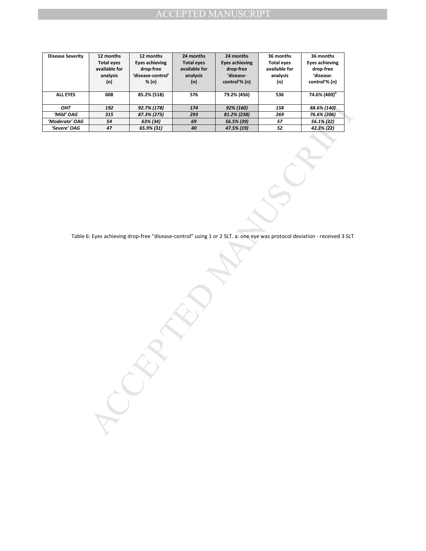| <b>Disease Severity</b> | 12 months<br><b>Total eyes</b><br>available for<br>analysis<br>(n) | 12 months<br><b>Eyes achieving</b><br>drop-free<br>'disease-control'<br>% (n) | 24 months<br><b>Total eyes</b><br>available for<br>analysis<br>(n) | 24 months<br><b>Eyes achieving</b><br>drop-free<br>'disease-<br>control'% (n) | 36 months<br><b>Total eyes</b><br>available for<br>analysis<br>(n) | 36 months<br><b>Eyes achieving</b><br>drop-free<br>'disease-<br>control'% (n)                                            |
|-------------------------|--------------------------------------------------------------------|-------------------------------------------------------------------------------|--------------------------------------------------------------------|-------------------------------------------------------------------------------|--------------------------------------------------------------------|--------------------------------------------------------------------------------------------------------------------------|
| <b>ALL EYES</b>         | 608                                                                | 85.2% (518)                                                                   | 576                                                                | 79.2% (456)                                                                   | 536                                                                | 74.6% (400) <sup>a</sup>                                                                                                 |
| OHT                     | 192                                                                | 92.7% (178)                                                                   | $174\,$                                                            | 92% (160)                                                                     | 158                                                                | 88.6% (140)                                                                                                              |
| 'Mild' OAG              | 315                                                                | 87.3% (275)                                                                   | 293                                                                | 81.2% (238)                                                                   | 269                                                                | 76.6% (206)                                                                                                              |
| 'Moderate' OAG          | 54                                                                 | 63% (34)                                                                      | 69                                                                 | 56.5% (39)                                                                    | 57                                                                 | 56.1% (32)                                                                                                               |
| 'Severe' OAG            | 47                                                                 | 65.9% (31)                                                                    | 40                                                                 | 47.5% (19)                                                                    | 52                                                                 | 42.3% (22)                                                                                                               |
|                         |                                                                    |                                                                               |                                                                    |                                                                               |                                                                    | Table 6: Eyes achieving drop-free "disease-control" using 1 or 2 SLT. a: one eye was protocol deviation - received 3 SLT |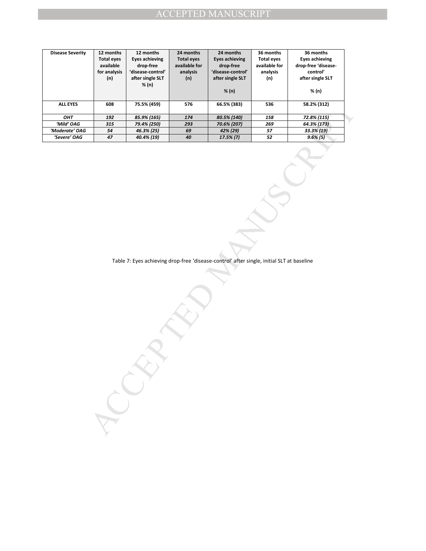| <b>Disease Severity</b> | 12 months<br><b>Total eyes</b><br>available<br>for analysis<br>(n) | 12 months<br><b>Eyes achieving</b><br>drop-free<br>'disease-control'<br>after single SLT | 24 months<br><b>Total eyes</b><br>available for<br>analysis<br>(n) | 24 months<br><b>Eyes achieving</b><br>drop-free<br>'disease-control'<br>after single SLT  | 36 months<br><b>Total eyes</b><br>available for<br>analysis<br>(n) | 36 months<br><b>Eyes achieving</b><br>drop-free 'disease-<br>control'<br>after single SLT |
|-------------------------|--------------------------------------------------------------------|------------------------------------------------------------------------------------------|--------------------------------------------------------------------|-------------------------------------------------------------------------------------------|--------------------------------------------------------------------|-------------------------------------------------------------------------------------------|
|                         |                                                                    | % (n)                                                                                    |                                                                    | % (n)                                                                                     |                                                                    | % (n)                                                                                     |
| <b>ALL EYES</b>         | 608                                                                | 75.5% (459)                                                                              | 576                                                                | 66.5% (383)                                                                               | 536                                                                | 58.2% (312)                                                                               |
| OHT                     | 192                                                                | 85.9% (165)                                                                              | 174                                                                | 80.5% (140)                                                                               | 158                                                                | 72.8% (115)                                                                               |
| 'Mild' OAG              | 315                                                                | 79.4% (250)                                                                              | 293                                                                | 70.6% (207)                                                                               | 269                                                                | 64.3% (173)                                                                               |
| 'Moderate' OAG          | 54                                                                 | 46.3% (25)                                                                               | 69                                                                 | 42% (29)                                                                                  | 57                                                                 | 33.3% (19)                                                                                |
| 'Severe' OAG            | 47                                                                 | 40.4% (19)                                                                               | ${\bf 40}$                                                         | $17.5\%$ (7)                                                                              | $52\,$                                                             | $9.6\%$ (5)                                                                               |
|                         |                                                                    |                                                                                          |                                                                    | Table 7: Eyes achieving drop-free 'disease-control' after single, initial SLT at baseline |                                                                    |                                                                                           |
|                         |                                                                    |                                                                                          |                                                                    |                                                                                           |                                                                    |                                                                                           |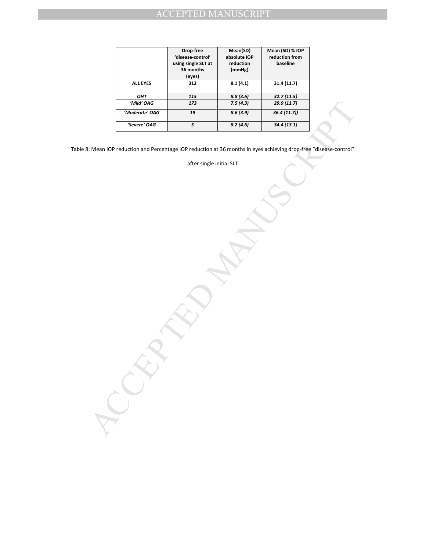|                                                                                                                  | Drop-free<br>'disease-control'<br>using single SLT at<br>36 months<br>(eyes) | Mean(SD)<br>absolute IOP<br>reduction<br>(mmHg) | Mean (SD) % IOP<br>reduction from<br>baseline |  |
|------------------------------------------------------------------------------------------------------------------|------------------------------------------------------------------------------|-------------------------------------------------|-----------------------------------------------|--|
| <b>ALL EYES</b>                                                                                                  | 312                                                                          | 8.1(4.1)                                        | 31.4(11.7)                                    |  |
| OHT                                                                                                              | 115                                                                          | 8.8(3.6)                                        | 32.7(11.5)                                    |  |
| 'Mild' OAG<br>'Moderate' OAG                                                                                     | 173<br>19                                                                    | 7.5(4.3)<br>8.6(3.9)                            | 29.9 (11.7)<br>36.4(11.7)                     |  |
|                                                                                                                  |                                                                              |                                                 |                                               |  |
| 'Severe' OAG                                                                                                     | $\overline{5}$                                                               | 8.2(4.6)                                        | 34.4(13.1)                                    |  |
| "Mean IOP reduction and Percentage IOP reduction at 36 months in eyes achieving drop-free "disease-control"<br>У | after single initial SLT                                                     |                                                 |                                               |  |
|                                                                                                                  |                                                                              |                                                 |                                               |  |

Table 8: Mean IOP reduction and Percentage IOP reduction at 36 months in eyes achieving drop-free "disease-control"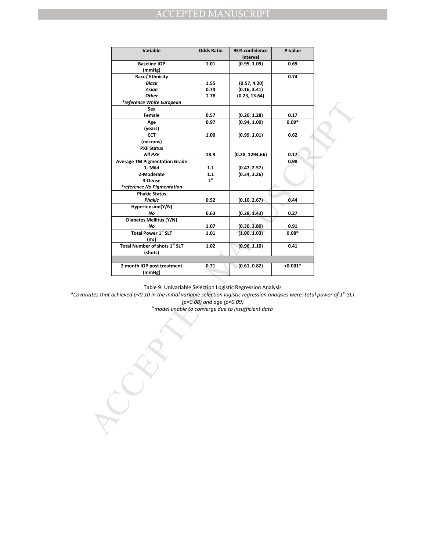| 95% confidence<br>Variable<br><b>Odds Ratio</b><br>P-value<br>Interval<br><b>Baseline IOP</b><br>1.01<br>(0.95, 1.09)<br>0.69<br>(mmHg)<br>Race/Ethnicity<br>0.74<br>Black<br>(0.57, 4.20)<br>1.55<br>Asian<br>0.74<br>(0.16, 3.41)<br><b>Other</b><br>1.78<br>(0.23, 13.64)<br>*reference White European<br>Sex<br>(0.26, 1.28)<br>Female<br>0.57<br>0.17<br>(0.94, 1.00)<br>$0.09*$<br>Age<br>0.97<br>(years)<br><b>CCT</b><br>(0.99, 1.01)<br>1.00<br>0.62<br>(microns)<br><b>PXF Status</b><br><b>Nil PXF</b><br>18.9<br>(0.28, 1294.66)<br>0.17<br><b>Average TM Pigmentation Grade</b><br>0.98<br>1- Mild<br>1.1<br>(0.47, 2.57)<br>2-Moderate<br>(0.34, 3.26)<br>1.1<br>$1^a$<br>3-Dense<br>*reference No Pigmentation<br><b>Phakic Status</b><br>0.52<br>(0.10, 2.67)<br>Phakic<br>0.44<br>Hypertension(Y/N)<br>0.63<br>(0.28, 1.43)<br>No<br>0.27<br>Diabetes Mellitus (Y/N)<br>(0.30, 3.80)<br>No<br>1.07<br>0.91<br>Total Power 1st SLT<br>(1.00, 1.03)<br>1.01<br>$0.08*$<br>(mJ)<br>Total Number of shots 1 <sup>st</sup> SLT<br>1.02<br>(0.96, 1.10)<br>0.41<br>(shots)<br>2 month IOP post treatment<br>(0.61, 0.82)<br>$< 0.001*$<br>0.71<br>(mmHg)<br>Table 9: Univariable Selection Logistic Regression Analysis<br>$(p=0.08)$ and age $(p=0.09)$<br><sup>a</sup> model unable to converge due to insufficient data |  |
|---------------------------------------------------------------------------------------------------------------------------------------------------------------------------------------------------------------------------------------------------------------------------------------------------------------------------------------------------------------------------------------------------------------------------------------------------------------------------------------------------------------------------------------------------------------------------------------------------------------------------------------------------------------------------------------------------------------------------------------------------------------------------------------------------------------------------------------------------------------------------------------------------------------------------------------------------------------------------------------------------------------------------------------------------------------------------------------------------------------------------------------------------------------------------------------------------------------------------------------------------------------------------------------------------------------------------------------|--|
|                                                                                                                                                                                                                                                                                                                                                                                                                                                                                                                                                                                                                                                                                                                                                                                                                                                                                                                                                                                                                                                                                                                                                                                                                                                                                                                                       |  |
|                                                                                                                                                                                                                                                                                                                                                                                                                                                                                                                                                                                                                                                                                                                                                                                                                                                                                                                                                                                                                                                                                                                                                                                                                                                                                                                                       |  |
|                                                                                                                                                                                                                                                                                                                                                                                                                                                                                                                                                                                                                                                                                                                                                                                                                                                                                                                                                                                                                                                                                                                                                                                                                                                                                                                                       |  |
|                                                                                                                                                                                                                                                                                                                                                                                                                                                                                                                                                                                                                                                                                                                                                                                                                                                                                                                                                                                                                                                                                                                                                                                                                                                                                                                                       |  |
|                                                                                                                                                                                                                                                                                                                                                                                                                                                                                                                                                                                                                                                                                                                                                                                                                                                                                                                                                                                                                                                                                                                                                                                                                                                                                                                                       |  |
|                                                                                                                                                                                                                                                                                                                                                                                                                                                                                                                                                                                                                                                                                                                                                                                                                                                                                                                                                                                                                                                                                                                                                                                                                                                                                                                                       |  |
|                                                                                                                                                                                                                                                                                                                                                                                                                                                                                                                                                                                                                                                                                                                                                                                                                                                                                                                                                                                                                                                                                                                                                                                                                                                                                                                                       |  |
|                                                                                                                                                                                                                                                                                                                                                                                                                                                                                                                                                                                                                                                                                                                                                                                                                                                                                                                                                                                                                                                                                                                                                                                                                                                                                                                                       |  |
|                                                                                                                                                                                                                                                                                                                                                                                                                                                                                                                                                                                                                                                                                                                                                                                                                                                                                                                                                                                                                                                                                                                                                                                                                                                                                                                                       |  |
|                                                                                                                                                                                                                                                                                                                                                                                                                                                                                                                                                                                                                                                                                                                                                                                                                                                                                                                                                                                                                                                                                                                                                                                                                                                                                                                                       |  |
|                                                                                                                                                                                                                                                                                                                                                                                                                                                                                                                                                                                                                                                                                                                                                                                                                                                                                                                                                                                                                                                                                                                                                                                                                                                                                                                                       |  |
|                                                                                                                                                                                                                                                                                                                                                                                                                                                                                                                                                                                                                                                                                                                                                                                                                                                                                                                                                                                                                                                                                                                                                                                                                                                                                                                                       |  |
|                                                                                                                                                                                                                                                                                                                                                                                                                                                                                                                                                                                                                                                                                                                                                                                                                                                                                                                                                                                                                                                                                                                                                                                                                                                                                                                                       |  |
|                                                                                                                                                                                                                                                                                                                                                                                                                                                                                                                                                                                                                                                                                                                                                                                                                                                                                                                                                                                                                                                                                                                                                                                                                                                                                                                                       |  |
|                                                                                                                                                                                                                                                                                                                                                                                                                                                                                                                                                                                                                                                                                                                                                                                                                                                                                                                                                                                                                                                                                                                                                                                                                                                                                                                                       |  |
|                                                                                                                                                                                                                                                                                                                                                                                                                                                                                                                                                                                                                                                                                                                                                                                                                                                                                                                                                                                                                                                                                                                                                                                                                                                                                                                                       |  |
|                                                                                                                                                                                                                                                                                                                                                                                                                                                                                                                                                                                                                                                                                                                                                                                                                                                                                                                                                                                                                                                                                                                                                                                                                                                                                                                                       |  |
|                                                                                                                                                                                                                                                                                                                                                                                                                                                                                                                                                                                                                                                                                                                                                                                                                                                                                                                                                                                                                                                                                                                                                                                                                                                                                                                                       |  |
|                                                                                                                                                                                                                                                                                                                                                                                                                                                                                                                                                                                                                                                                                                                                                                                                                                                                                                                                                                                                                                                                                                                                                                                                                                                                                                                                       |  |
|                                                                                                                                                                                                                                                                                                                                                                                                                                                                                                                                                                                                                                                                                                                                                                                                                                                                                                                                                                                                                                                                                                                                                                                                                                                                                                                                       |  |
|                                                                                                                                                                                                                                                                                                                                                                                                                                                                                                                                                                                                                                                                                                                                                                                                                                                                                                                                                                                                                                                                                                                                                                                                                                                                                                                                       |  |
|                                                                                                                                                                                                                                                                                                                                                                                                                                                                                                                                                                                                                                                                                                                                                                                                                                                                                                                                                                                                                                                                                                                                                                                                                                                                                                                                       |  |
|                                                                                                                                                                                                                                                                                                                                                                                                                                                                                                                                                                                                                                                                                                                                                                                                                                                                                                                                                                                                                                                                                                                                                                                                                                                                                                                                       |  |
|                                                                                                                                                                                                                                                                                                                                                                                                                                                                                                                                                                                                                                                                                                                                                                                                                                                                                                                                                                                                                                                                                                                                                                                                                                                                                                                                       |  |
|                                                                                                                                                                                                                                                                                                                                                                                                                                                                                                                                                                                                                                                                                                                                                                                                                                                                                                                                                                                                                                                                                                                                                                                                                                                                                                                                       |  |
| riates that achieved p<0.10 in the initial variable selection logistic regression analyses were: total power of 1 <sup>st</sup> SLT                                                                                                                                                                                                                                                                                                                                                                                                                                                                                                                                                                                                                                                                                                                                                                                                                                                                                                                                                                                                                                                                                                                                                                                                   |  |
|                                                                                                                                                                                                                                                                                                                                                                                                                                                                                                                                                                                                                                                                                                                                                                                                                                                                                                                                                                                                                                                                                                                                                                                                                                                                                                                                       |  |
|                                                                                                                                                                                                                                                                                                                                                                                                                                                                                                                                                                                                                                                                                                                                                                                                                                                                                                                                                                                                                                                                                                                                                                                                                                                                                                                                       |  |
|                                                                                                                                                                                                                                                                                                                                                                                                                                                                                                                                                                                                                                                                                                                                                                                                                                                                                                                                                                                                                                                                                                                                                                                                                                                                                                                                       |  |
|                                                                                                                                                                                                                                                                                                                                                                                                                                                                                                                                                                                                                                                                                                                                                                                                                                                                                                                                                                                                                                                                                                                                                                                                                                                                                                                                       |  |
|                                                                                                                                                                                                                                                                                                                                                                                                                                                                                                                                                                                                                                                                                                                                                                                                                                                                                                                                                                                                                                                                                                                                                                                                                                                                                                                                       |  |
|                                                                                                                                                                                                                                                                                                                                                                                                                                                                                                                                                                                                                                                                                                                                                                                                                                                                                                                                                                                                                                                                                                                                                                                                                                                                                                                                       |  |

*\*Covariates that achieved p<0.10 in the initial variable selection logistic regression analyses were: total power of 1st SLT*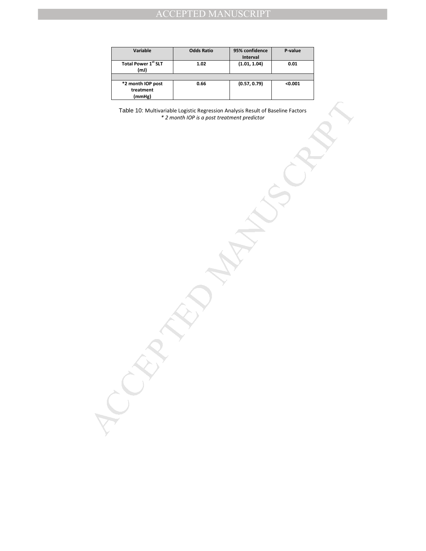| Variable                                 | <b>Odds Ratio</b> | 95% confidence<br>Interval | P-value |
|------------------------------------------|-------------------|----------------------------|---------|
| <b>Total Power 1st SLT</b><br>(mJ        | 1.02              | (1.01, 1.04)               | 0.01    |
|                                          |                   |                            |         |
| *2 month IOP post<br>treatment<br>(mmHg) | 0.66              | (0.57, 0.79)               | < 0.001 |

Table 10: Multivariable Logistic Regression Analysis Result of Bapeline Factors<br>
"2 month iOP is a post treatment predictor<br>
"2 month iOP is a post treatment predictor<br>
"<br>
And the same of the contract of the state of the s Table 10: Multivariable Logistic Regression Analysis Result of Baseline Factors *\* 2 month IOP is a post treatment predictor*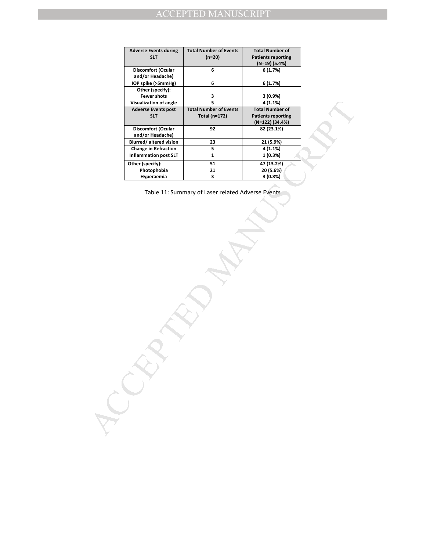| <b>Adverse Events during</b> | <b>Total Number of Events</b> | <b>Total Number of</b>    |  |
|------------------------------|-------------------------------|---------------------------|--|
| <b>SLT</b>                   | $(n=20)$                      | <b>Patients reporting</b> |  |
|                              |                               | (N=19) (5.4%)             |  |
| <b>Discomfort (Ocular</b>    | 6                             | 6 (1.7%)                  |  |
| and/or Headache)             |                               |                           |  |
| IOP spike (>5mmHg)           | 6                             | 6 (1.7%)                  |  |
| Other (specify):             |                               |                           |  |
| <b>Fewer shots</b>           | 3                             | 3(0.9%)                   |  |
| Visualization of angle       | 5                             | 4 (1.1%)                  |  |
| <b>Adverse Events post</b>   | <b>Total Number of Events</b> | <b>Total Number of</b>    |  |
| <b>SLT</b>                   | <b>Total (n=172)</b>          | <b>Patients reporting</b> |  |
|                              |                               | (N=122) (34.4%)           |  |
| <b>Discomfort (Ocular</b>    | 92                            | 82 (23.1%)                |  |
| and/or Headache)             |                               |                           |  |
|                              |                               |                           |  |
| Blurred/altered vision       | 23                            | 21 (5.9%)                 |  |
| <b>Change in Refraction</b>  | 5                             | 4 (1.1%)                  |  |
| <b>Inflammation post SLT</b> | $\mathbf 1$                   | 1 (0.3%)                  |  |
| Other (specify):             | 51                            | 47 (13.2%)                |  |
| Photophobia                  | 21                            | 20 (5.6%)                 |  |
| Hyperaemia                   | 3                             | 3 (0.8%)                  |  |
|                              |                               |                           |  |
|                              |                               |                           |  |
|                              |                               |                           |  |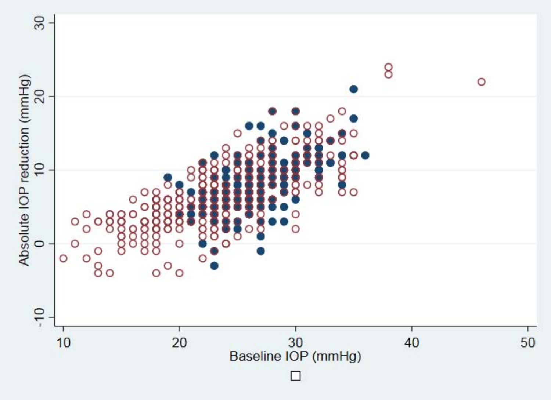